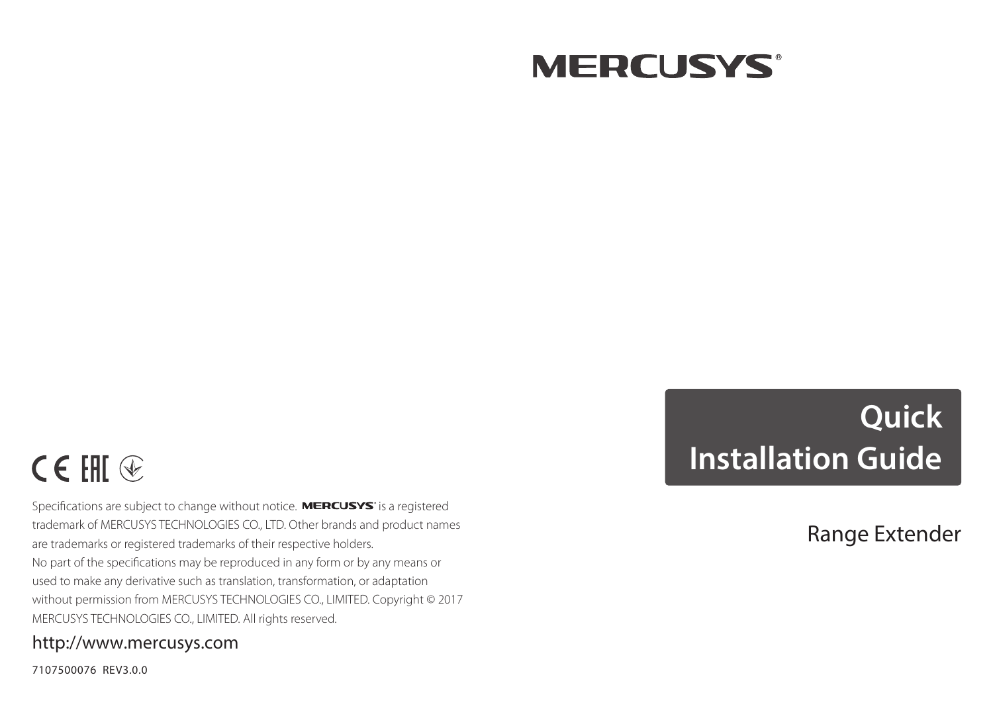

# $C \in H \mathbb{R}$

Specifications are subject to change without notice. MERCUSYS' is a registered trademark of MERCUSYS TECHNOLOGIES CO., LTD. Other brands and product names are trademarks or registered trademarks of their respective holders. No part of the specifications may be reproduced in any form or by any means or used to make any derivative such as translation, transformation, or adaptation without permission from MERCUSYS TECHNOLOGIES CO., LIMITED. Copyright © 2017 MERCUSYS TECHNOLOGIES CO., LIMITED. All rights reserved.

#### http://www.mercusys.com

7107500076 REV3.0.0

# **Quick Installation Guide**

Range Extender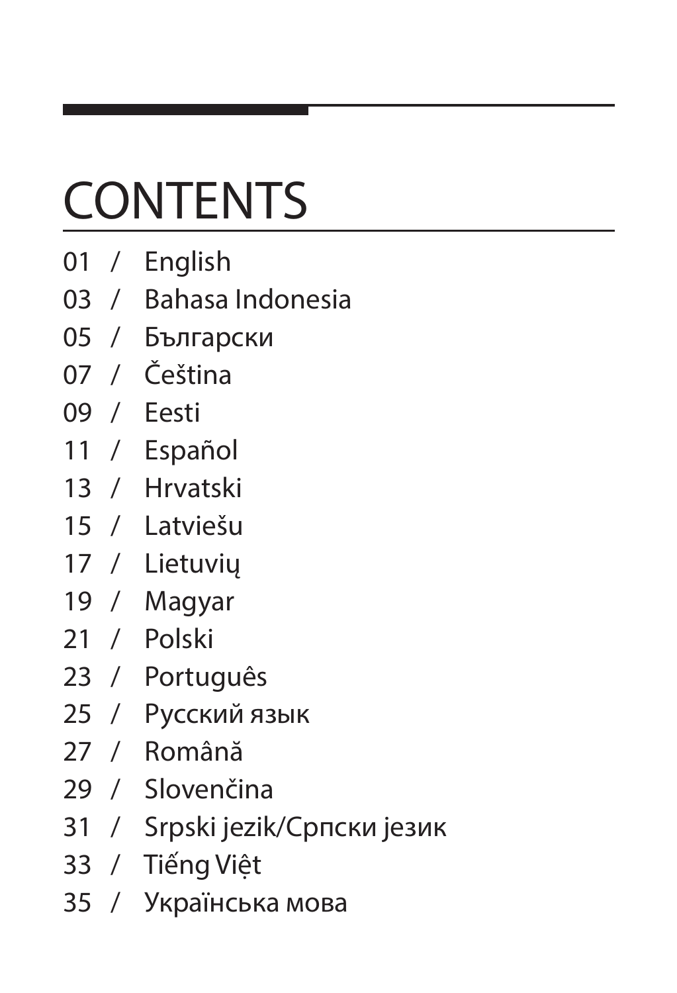# **CONTENTS**

- 01 / English
- 03 / Bahasa Indonesia
- 05 / Български
- 07 / Čeština
- 09 / Eesti
- 11 / Español
- 13 / Hrvatski
- 15 / Latviešu
- 17 / Lietuvių
- 19 / Magyar
- 21 / Polski
- 23 / Português
- 25 / Русский язык
- 27 / Română
- 29 / Slovenčina
- 31 / Srpski jezik/Српски језик
- 33 / Tiếng Việt
- 35 / Українська мова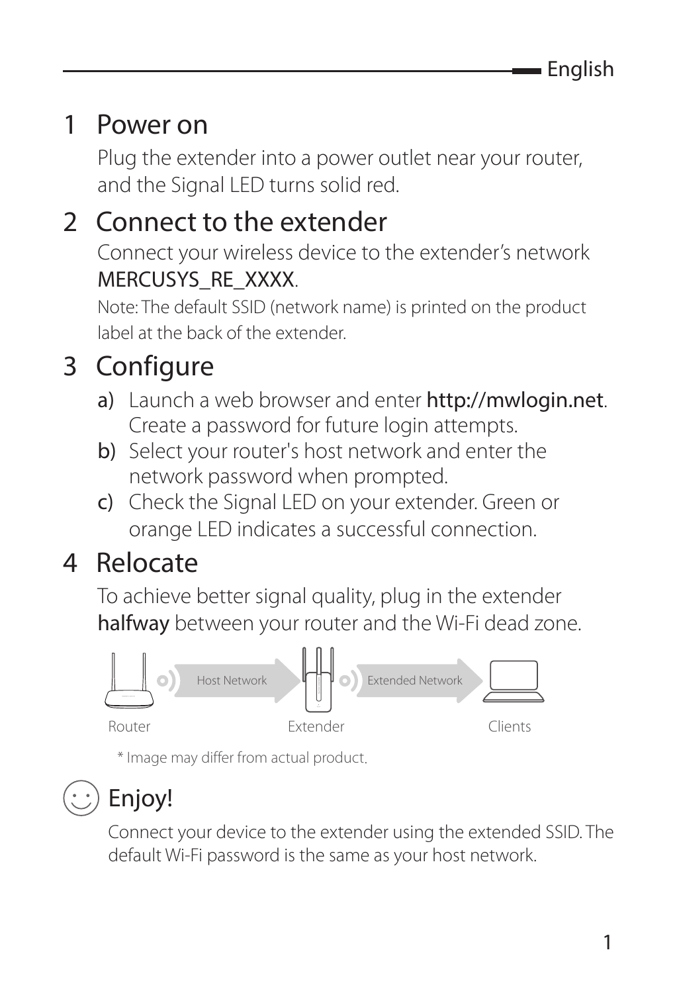### 1 Power on

Plug the extender into a power outlet near your router, and the Signal LED turns solid red.

### 2 Connect to the extender

Connect your wireless device to the extender's network MERCUSYS\_RE\_XXXX.

Note: The default SSID (network name) is printed on the product label at the back of the extender.

### 3 Configure

- a) Launch a web browser and enter http://mwlogin.net. Create a password for future login attempts.
- b) Select your router's host network and enter the network password when prompted.
- c) Check the Signal LED on your extender. Green or orange LED indicates a successful connection.

### 4 Relocate

To achieve better signal quality, plug in the extender halfway between your router and the Wi-Fi dead zone.



\* Image may differ from actual product.

### Enjoy!

Connect your device to the extender using the extended SSID. The default Wi-Fi password is the same as your host network.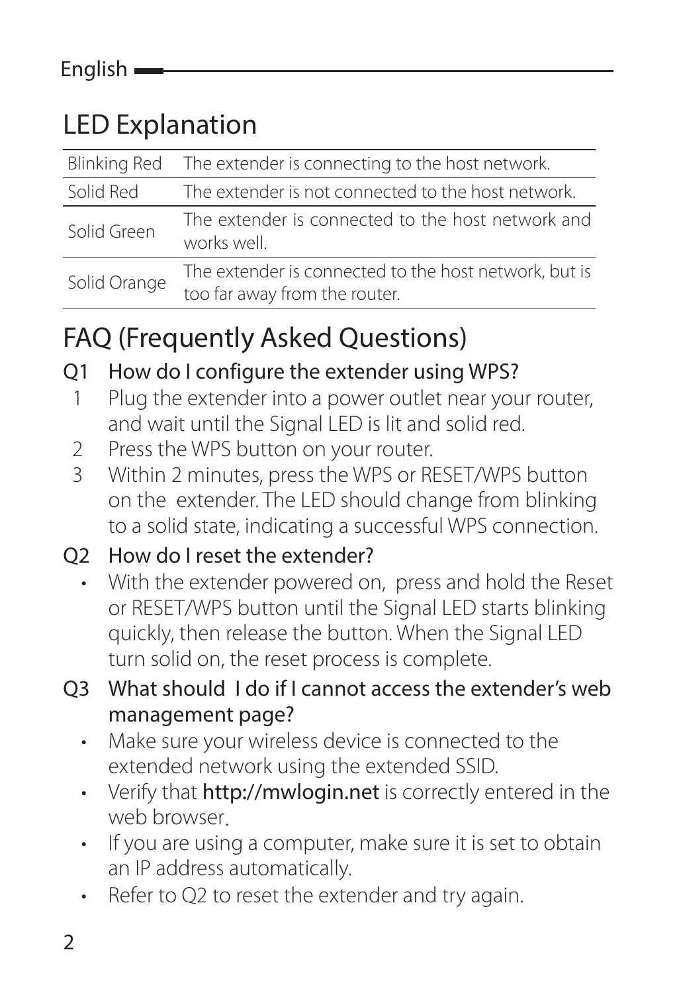### LED Explanation

|              | Blinking Red The extender is connecting to the host network.                           |
|--------------|----------------------------------------------------------------------------------------|
| Solid Red    | The extender is not connected to the host network.                                     |
| Solid Green  | The extender is connected to the host network and<br>works well.                       |
| Solid Orange | The extender is connected to the host network, but is<br>too far away from the router. |

### FAQ (Frequently Asked Questions)

#### Q1 How do I configure the extender using WPS?

- 1 Plug the extender into a power outlet near your router, and wait until the Signal LED is lit and solid red.
- 2 Press the WPS button on your router.<br>3 Within 2 minutes press the WPS or RI
- Within 2 minutes, press the WPS or RESET/WPS button on the extender. The LED should change from blinking to a solid state, indicating a successful WPS connection.

#### Q2 How do I reset the extender?

• With the extender powered on, press and hold the Reset or RESET/WPS button until the Signal LED starts blinking quickly, then release the button. When the Signal LED turn solid on, the reset process is complete.

#### Q3 What should I do if I cannot access the extender's web management page?

- Make sure your wireless device is connected to the extended network using the extended SSID.
- Verify that http://mwlogin.net is correctly entered in the web browser.
- If you are using a computer, make sure it is set to obtain an IP address automatically.
- Refer to Q2 to reset the extender and try again.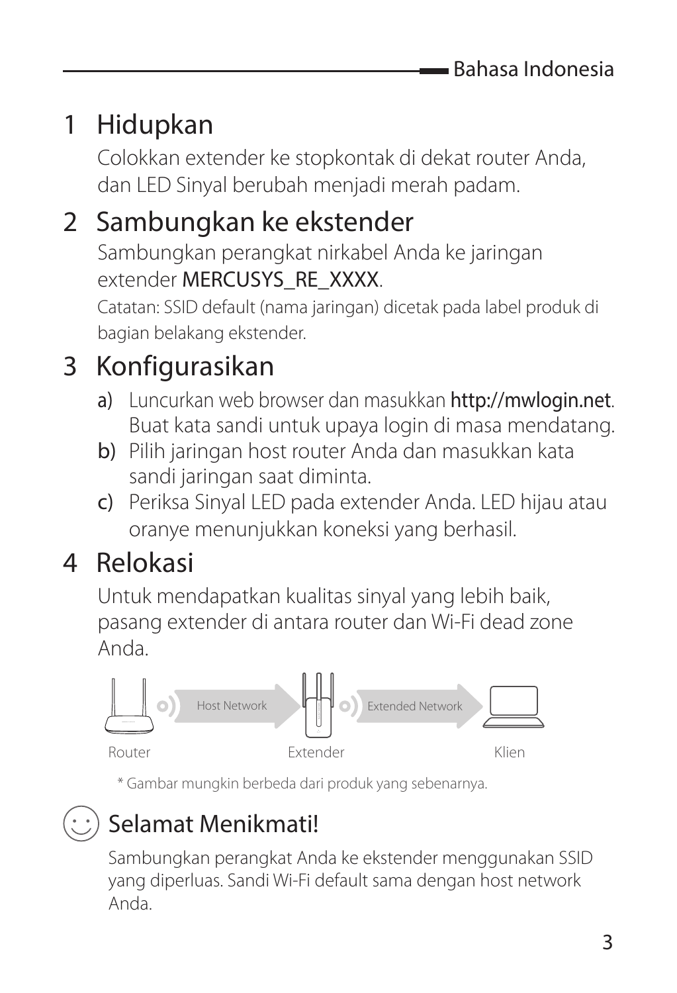### 1 Hidupkan

Colokkan extender ke stopkontak di dekat router Anda, dan LED Sinyal berubah menjadi merah padam.

#### 2 Sambungkan ke ekstender

Sambungkan perangkat nirkabel Anda ke jaringan extender MERCUSYS\_RE\_XXXX.

Catatan: SSID default (nama jaringan) dicetak pada label produk di bagian belakang ekstender.

### 3 Konfigurasikan

- a) Luncurkan web browser dan masukkan http://mwlogin.net. Buat kata sandi untuk upaya login di masa mendatang.
- b) Pilih jaringan host router Anda dan masukkan kata sandi jaringan saat diminta.
- c) Periksa Sinyal LED pada extender Anda. LED hijau atau oranye menunjukkan koneksi yang berhasil.

#### 4 Relokasi

Untuk mendapatkan kualitas sinyal yang lebih baik, pasang extender di antara router dan Wi-Fi dead zone Anda.



\* Gambar mungkin berbeda dari produk yang sebenarnya.

#### Selamat Menikmati!

Sambungkan perangkat Anda ke ekstender menggunakan SSID yang diperluas. Sandi Wi-Fi default sama dengan host network Anda.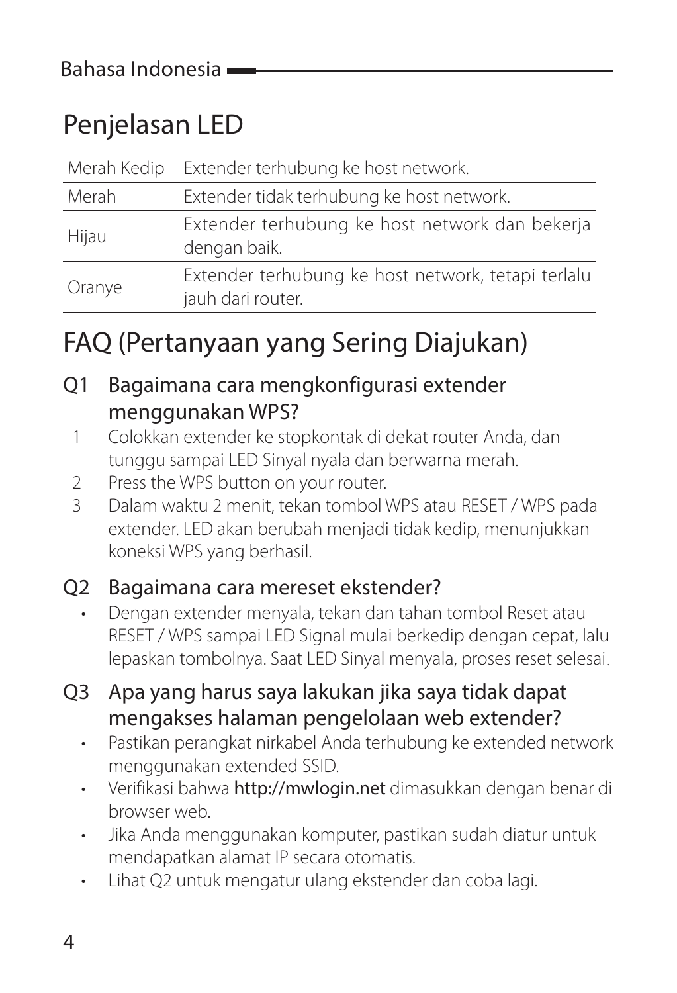### Penjelasan LED

| Merah Kedip | Extender terhubung ke host network.                                     |
|-------------|-------------------------------------------------------------------------|
| Merah       | Extender tidak terhubung ke host network.                               |
| Hijau       | Extender terhubung ke host network dan bekerja<br>dengan baik.          |
| Oranye      | Extender terhubung ke host network, tetapi terlalu<br>jauh dari router. |

### FAQ (Pertanyaan yang Sering Diajukan)

#### Q1 Bagaimana cara mengkonfigurasi extender menggunakan WPS?

- 1 Colokkan extender ke stopkontak di dekat router Anda, dan tunggu sampai LED Sinyal nyala dan berwarna merah.
- 2 Press the WPS button on your router.
- 3 Dalam waktu 2 menit, tekan tombol WPS atau RESET / WPS pada extender. LED akan berubah menjadi tidak kedip, menunjukkan koneksi WPS yang berhasil.

#### Q2 Bagaimana cara mereset ekstender?

- Dengan extender menyala, tekan dan tahan tombol Reset atau RESET / WPS sampai LED Signal mulai berkedip dengan cepat, lalu lepaskan tombolnya. Saat LED Sinyal menyala, proses reset selesai.
- Q3 Apa yang harus saya lakukan jika saya tidak dapat mengakses halaman pengelolaan web extender?
	- Pastikan perangkat nirkabel Anda terhubung ke extended network menggunakan extended SSID.
	- Verifikasi bahwa http://mwlogin.net dimasukkan dengan benar di browser web.
	- Jika Anda menggunakan komputer, pastikan sudah diatur untuk mendapatkan alamat IP secara otomatis.
	- Lihat Q2 untuk mengatur ulang ekstender dan coba lagi.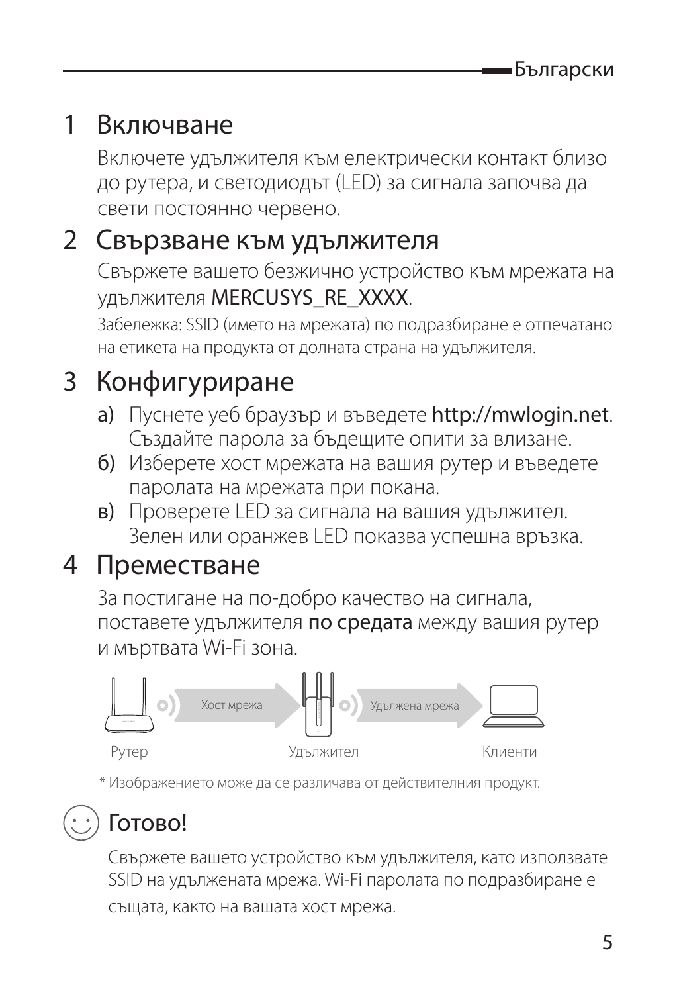#### 1 Включване

Включете удължителя към електрически контакт близо до рутера, и светодиодът (LED) за сигнала започва да свети постоянно червено.

#### 2 Свързване към удължителя

Свържете вашето безжично устройство към мрежата на удължителя MERCUSYS\_RE\_XXXX.

Забележка: SSID (името на мрежата) по подразбиране е отпечатано на етикета на продукта от долната страна на удължителя.

### 3 Конфигуриране

- a) Пуснете уеб браузър и въведете http://mwlogin.net. Създайте парола за бъдещите опити за влизане.
- б) Изберете хост мрежата на вашия рутер и въведете паролата на мрежата при покана.
- в) Проверете LED за сигнала на вашия удължител. Зелен или оранжев LED показва успешна връзка.

#### 4 Преместване

За постигане на по-добро качество на сигнала, поставете удължителя по средата между вашия рутер и мъртвата Wi-Fi зона.



\* Изображението може да се различава от действителния продукт.

### Готово!

Свържете вашето устройство към удължителя, като използвате SSID на удължената мрежа. Wi-Fi паролата по подразбиране е

същата, както на вашата хост мрежа.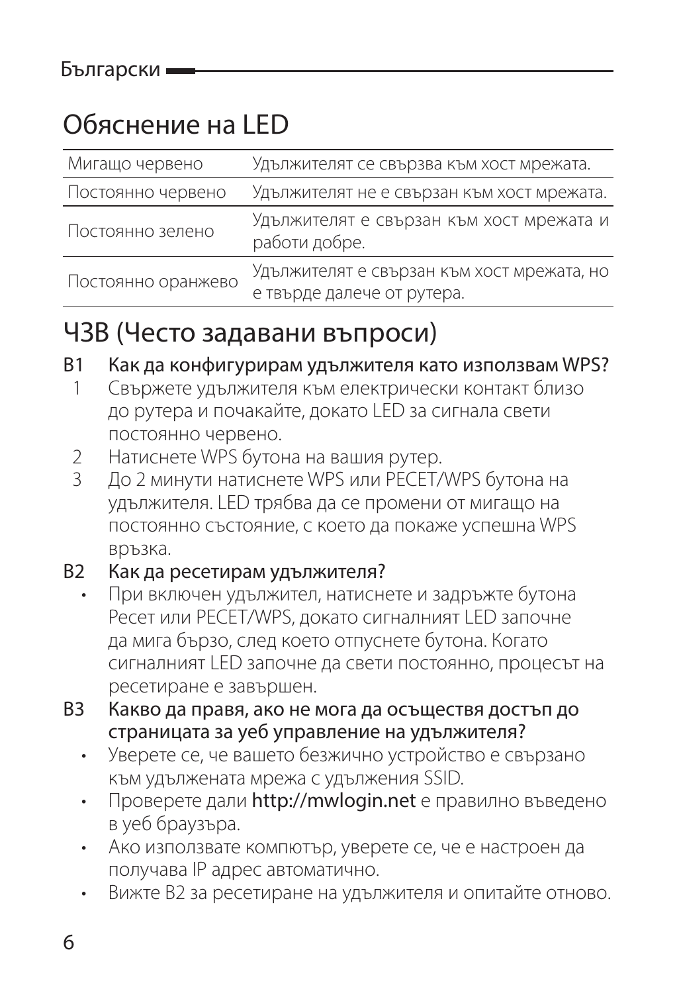### Обяснение на LED

| Мигащо червено     | Удължителят се свързва към хост мрежата.                  |
|--------------------|-----------------------------------------------------------|
| Постоянно червено  | Удължителят не е свързан към хост мрежата.                |
| Постоянно зелено   | Удължителят е свързан към хост мрежата и<br>работи добре. |
| Постоянно оранжево | Удължителят е свързан към хост мрежата, но                |
|                    | е твърде далече от рутера.                                |

#### ЧЗВ (Често задавани въпроси)

#### В1 Как да конфигурирам удължителя като използвам WPS?

- 1 Свържете удължителя към електрически контакт близо до рутера и почакайте, докато LED за сигнала свети постоянно червено.
- 2 Натиснете WPS бутона на вашия рутер.<br>3 По 2 минути натиснете WPS или PECET/
- 3 До 2 минути натиснете WPS или РЕСЕТ/WPS бутона на удължителя. LED трябва да се промени от мигащо на постоянно състояние, с което да покаже успешна WPS връзка.

#### В2 Как да ресетирам удължителя?

- При включен удължител, натиснете и задръжте бутона Ресет или РЕСЕТ/WPS, докато сигналният LED започне да мига бързо, след което отпуснете бутона. Когато сигналният LED започне да свети постоянно, процесът на ресетиране е завършен.
- В3 Какво да правя, ако не мога да осъществя достъп до страницата за уеб управление на удължителя?
	- Уверете се, че вашето безжично устройство е свързано към удължената мрежа с удължения SSID.
	- Проверете дали http://mwlogin.net е правилно въведено в уеб браузъра.
	- Ако използвате компютър, уверете се, че е настроен да получава IP адрес автоматично.
	- Вижте В2 за ресетиране на удължителя и опитайте отново.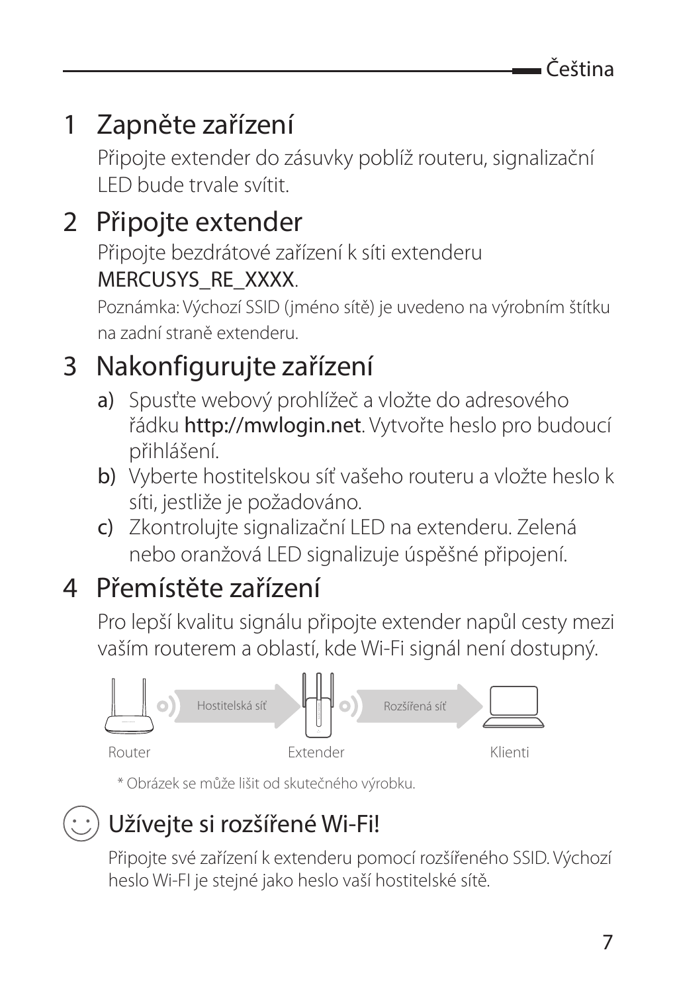### 1 Zapněte zařízení

Připojte extender do zásuvky poblíž routeru, signalizační LED bude trvale svítit.

### 2 Připojte extender

Připojte bezdrátové zařízení k síti extenderu MERCUSYS\_RE\_XXXX.

Poznámka: Výchozí SSID (jméno sítě) je uvedeno na výrobním štítku na zadní straně extenderu.

### 3 Nakonfigurujte zařízení

- a) Spusťte webový prohlížeč a vložte do adresového řádku http://mwlogin.net. Vytvořte heslo pro budoucí přihlášení.
- b) Vyberte hostitelskou síť vašeho routeru a vložte heslo k síti, jestliže je požadováno.
- c) Zkontrolujte signalizační LED na extenderu. Zelená nebo oranžová LED signalizuje úspěšné připojení.

### 4 Přemístěte zařízení

Pro lepší kvalitu signálu připojte extender napůl cesty mezi vaším routerem a oblastí, kde Wi-Fi signál není dostupný.



\* Obrázek se může lišit od skutečného výrobku.



#### Užívejte si rozšířené Wi-Fi!

Připojte své zařízení k extenderu pomocí rozšířeného SSID. Výchozí heslo Wi-FI je stejné jako heslo vaší hostitelské sítě.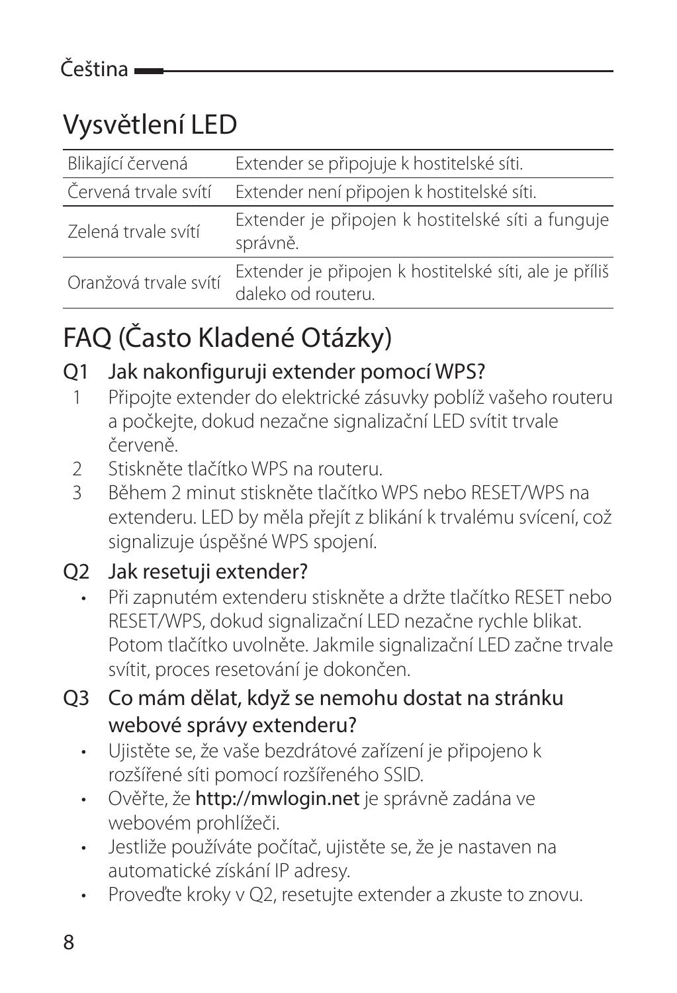### Vysvětlení LED

| Blikající červená     | Extender se připojuje k hostitelské síti.                                    |
|-----------------------|------------------------------------------------------------------------------|
| Červená trvale svítí  | Extender není připojen k hostitelské síti.                                   |
| Zelená trvale svítí   | Extender je připojen k hostitelské síti a funguje<br>správně.                |
| Oranžová trvale svítí | Extender je připojen k hostitelské síti, ale je příliš<br>daleko od routeru. |

### FAQ (Často Kladené Otázky)

#### Q1 Jak nakonfiguruji extender pomocí WPS?

- 1 Připojte extender do elektrické zásuvky poblíž vašeho routeru a počkejte, dokud nezačne signalizační LED svítit trvale červeně.
- 2 Stiskněte tlačítko WPS na routeru.<br>3 Rěbem 2 minut stiskněte tlačítko
- 3 Během 2 minut stiskněte tlačítko WPS nebo RESET/WPS na extenderu. LED by měla přejít z blikání k trvalému svícení, což signalizuje úspěšné WPS spojení.

#### Q2 Jak resetuji extender?

- Při zapnutém extenderu stiskněte a držte tlačítko RESET nebo RESET/WPS, dokud signalizační LED nezačne rychle blikat. Potom tlačítko uvolněte. Jakmile signalizační LED začne trvale svítit, proces resetování je dokončen.
- Q3 Co mám dělat, když se nemohu dostat na stránku webové správy extenderu?
	- Ujistěte se, že vaše bezdrátové zařízení je připojeno k rozšířené síti pomocí rozšířeného SSID.
	- Ověřte, že http://mwlogin.net je správně zadána ve webovém prohlížeči.
	- Jestliže používáte počítač, ujistěte se, že je nastaven na automatické získání IP adresy.
	- Proveďte kroky v Q2, resetujte extender a zkuste to znovu.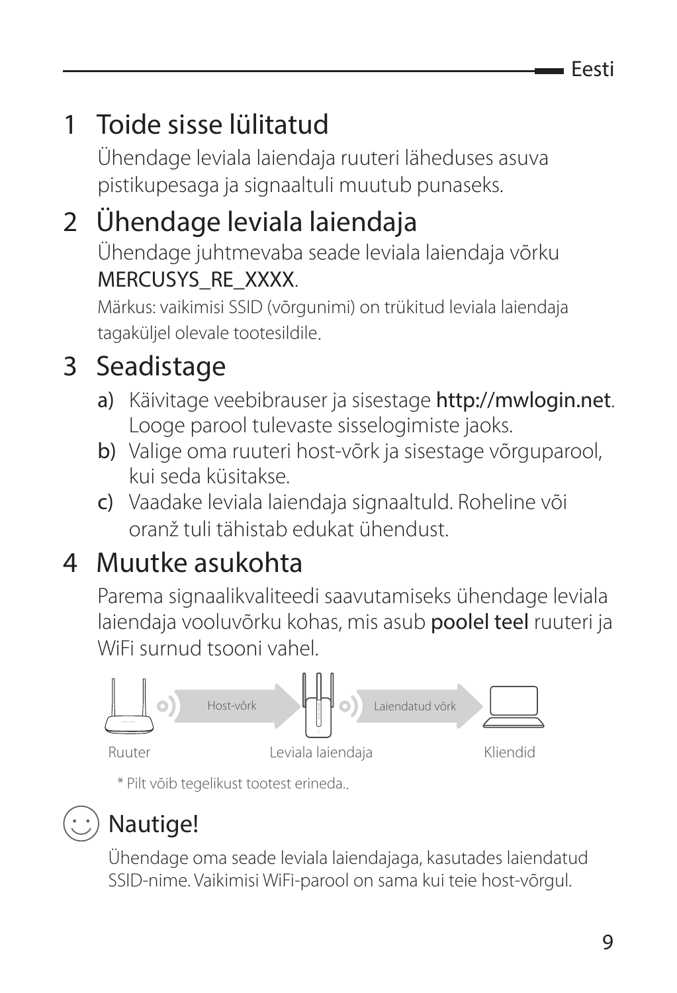Eesti

### 1 Toide sisse lülitatud

Ühendage leviala laiendaja ruuteri läheduses asuva pistikupesaga ja signaaltuli muutub punaseks.

### 2 Ühendage leviala laiendaja

Ühendage juhtmevaba seade leviala laiendaja võrku MERCUSYS\_RE\_XXXX.

Märkus: vaikimisi SSID (võrgunimi) on trükitud leviala laiendaja tagaküljel olevale tootesildile.

### 3 Seadistage

- a) Käivitage veebibrauser ja sisestage http://mwlogin.net. Looge parool tulevaste sisselogimiste jaoks.
- b) Valige oma ruuteri host-võrk ja sisestage võrguparool. kui seda küsitakse.
- c) Vaadake leviala laiendaja signaaltuld. Roheline või oranž tuli tähistab edukat ühendust.

### 4 Muutke asukohta

Parema signaalikvaliteedi saavutamiseks ühendage leviala laiendaja vooluvõrku kohas, mis asub poolel teel ruuteri ja WiFi surnud tsooni vahel.



\* Pilt võib tegelikust tootest erineda..

### Nautige!

Ühendage oma seade leviala laiendajaga, kasutades laiendatud SSID-nime. Vaikimisi WiFi-parool on sama kui teie host-võrgul.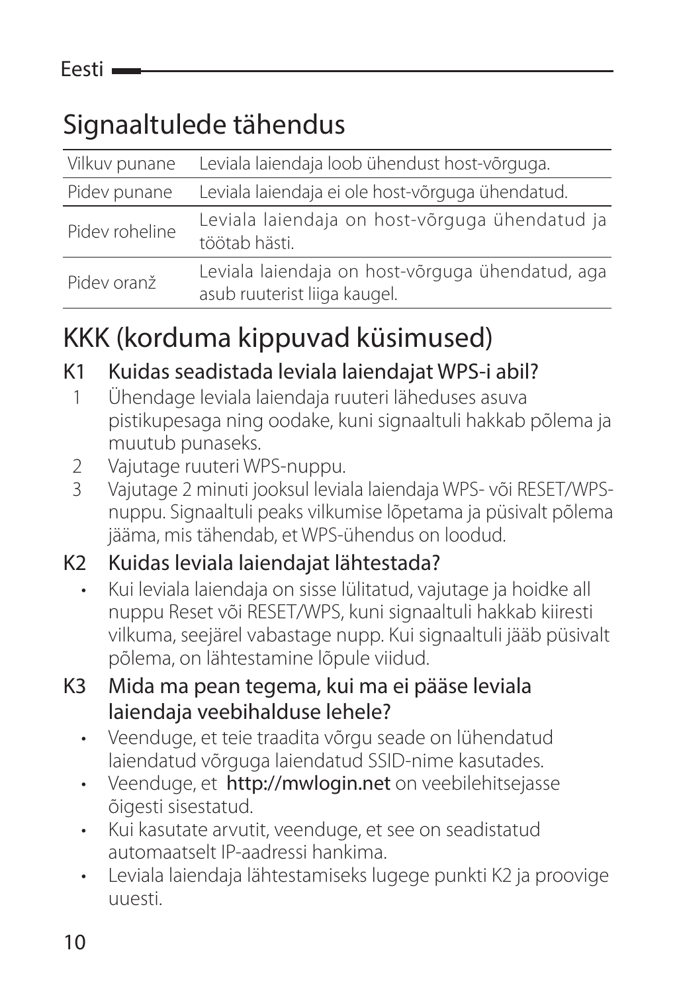### Signaaltulede tähendus

| Vilkuv punane  | Leviala laiendaja loob ühendust host-võrguga.                                    |
|----------------|----------------------------------------------------------------------------------|
| Pidev punane   | Leviala laiendaja ei ole host-võrguga ühendatud.                                 |
| Pidev roheline | Leviala laiendaja on host-võrguga ühendatud ja<br>töötab hästi.                  |
| Pidev oranž    | Leviala laiendaja on host-võrguga ühendatud, aga<br>asub ruuterist liiga kaugel. |

### KKK (korduma kippuvad küsimused)

#### K1 Kuidas seadistada leviala laiendajat WPS-i abil?

- 1 Ühendage leviala laiendaja ruuteri läheduses asuva pistikupesaga ning oodake, kuni signaaltuli hakkab põlema ja muutub punaseks.
- 2 Vajutage ruuteri WPS-nuppu.<br>3 Vajutage 2 minuti jooksul levia
- 3 Vajutage 2 minuti jooksul leviala laiendaja WPS- või RESET/WPSnuppu. Signaaltuli peaks vilkumise lõpetama ja püsivalt põlema jääma, mis tähendab, et WPS-ühendus on loodud.

#### K2 Kuidas leviala laiendajat lähtestada?

- Kui leviala laiendaja on sisse lülitatud, vajutage ja hoidke all nuppu Reset või RESET/WPS, kuni signaaltuli hakkab kiiresti vilkuma, seejärel vabastage nupp. Kui signaaltuli jääb püsivalt põlema, on lähtestamine lõpule viidud.
- K3 Mida ma pean tegema, kui ma ei pääse leviala laiendaja veebihalduse lehele?
	- Veenduge, et teie traadita võrgu seade on lühendatud laiendatud võrguga laiendatud SSID-nime kasutades.
	- Veenduge, et http://mwlogin.net on veebilehitsejasse õigesti sisestatud.
	- Kui kasutate arvutit, veenduge, et see on seadistatud automaatselt IP-aadressi hankima.
	- Leviala laiendaja lähtestamiseks lugege punkti K2 ja proovige uuesti.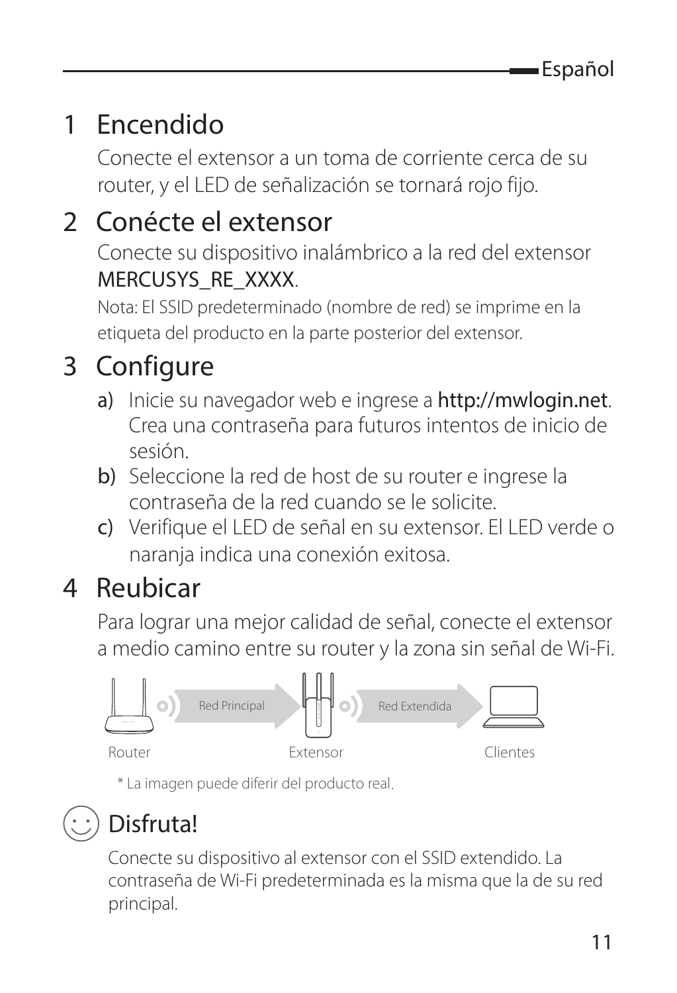### 1 Encendido

Conecte el extensor a un toma de corriente cerca de su router, y el LED de señalización se tornará rojo fijo.

### 2 Conécte el extensor

Conecte su dispositivo inalámbrico a la red del extensor MERCUSYS\_RE\_XXXX.

Nota: El SSID predeterminado (nombre de red) se imprime en la etiqueta del producto en la parte posterior del extensor.

### 3 Configure

- a) Inicie su navegador web e ingrese a http://mwlogin.net. Crea una contraseña para futuros intentos de inicio de sesión.
- b) Seleccione la red de host de su router e ingrese la contraseña de la red cuando se le solicite.
- c) Verifique el LED de señal en su extensor. El LED verde o naranja indica una conexión exitosa.

### 4 Reubicar

Para lograr una mejor calidad de señal, conecte el extensor a medio camino entre su router y la zona sin señal de Wi-Fi.



\* La imagen puede diferir del producto real.

### Disfruta!

Conecte su dispositivo al extensor con el SSID extendido. La contraseña de Wi-Fi predeterminada es la misma que la de su red principal.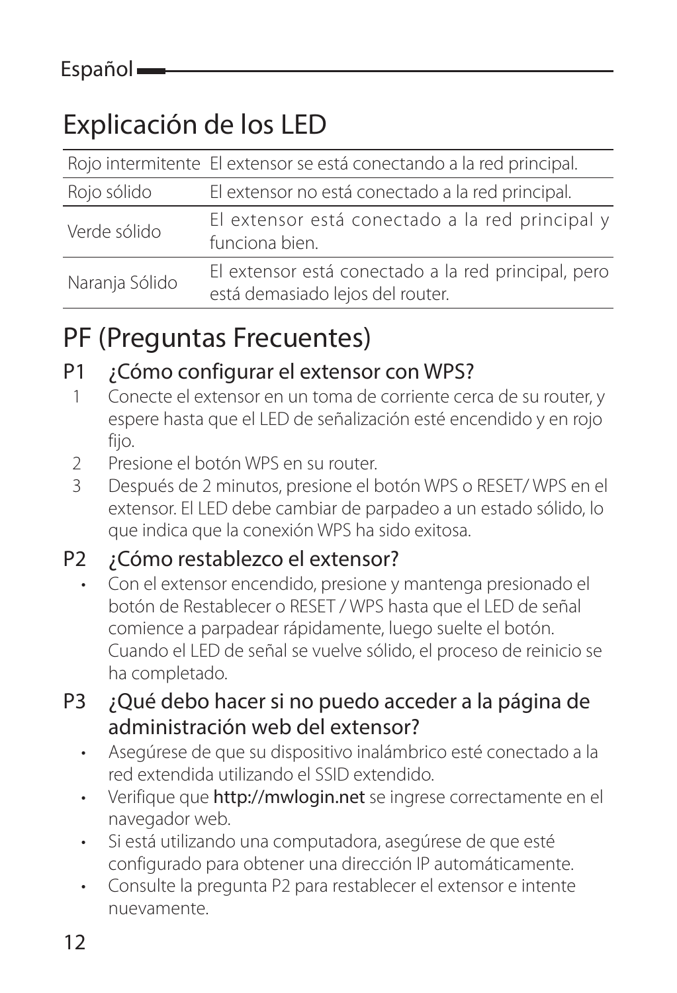### Explicación de los LED

|                | Rojo intermitente El extensor se está conectando a la red principal.                    |
|----------------|-----------------------------------------------------------------------------------------|
| Rojo sólido    | El extensor no está conectado a la red principal.                                       |
| Verde sólido   | El extensor está conectado a la red principal y<br>funciona bien.                       |
| Naranja Sólido | El extensor está conectado a la red principal, pero<br>está demasiado lejos del router. |

#### PF (Preguntas Frecuentes)

#### P1 ¿Cómo configurar el extensor con WPS?

- 1 Conecte el extensor en un toma de corriente cerca de su router, y espere hasta que el LED de señalización esté encendido y en rojo fiio.
- 2 Presione el botón WPS en su router.
- 3 Después de 2 minutos, presione el botón WPS o RESET/ WPS en el extensor. El LED debe cambiar de parpadeo a un estado sólido, lo que indica que la conexión WPS ha sido exitosa.

#### P2 ¿Cómo restablezco el extensor?

- Con el extensor encendido, presione y mantenga presionado el botón de Restablecer o RESET / WPS hasta que el LED de señal comience a parpadear rápidamente, luego suelte el botón. Cuando el LED de señal se vuelve sólido, el proceso de reinicio se ha completado.
- P3 ¿Qué debo hacer si no puedo acceder a la página de administración web del extensor?
	- Asegúrese de que su dispositivo inalámbrico esté conectado a la red extendida utilizando el SSID extendido.
	- Verifique que http://mwlogin.net se ingrese correctamente en el navegador web.
	- Si está utilizando una computadora, asegúrese de que esté configurado para obtener una dirección IP automáticamente.
	- Consulte la pregunta P2 para restablecer el extensor e intente nuevamente.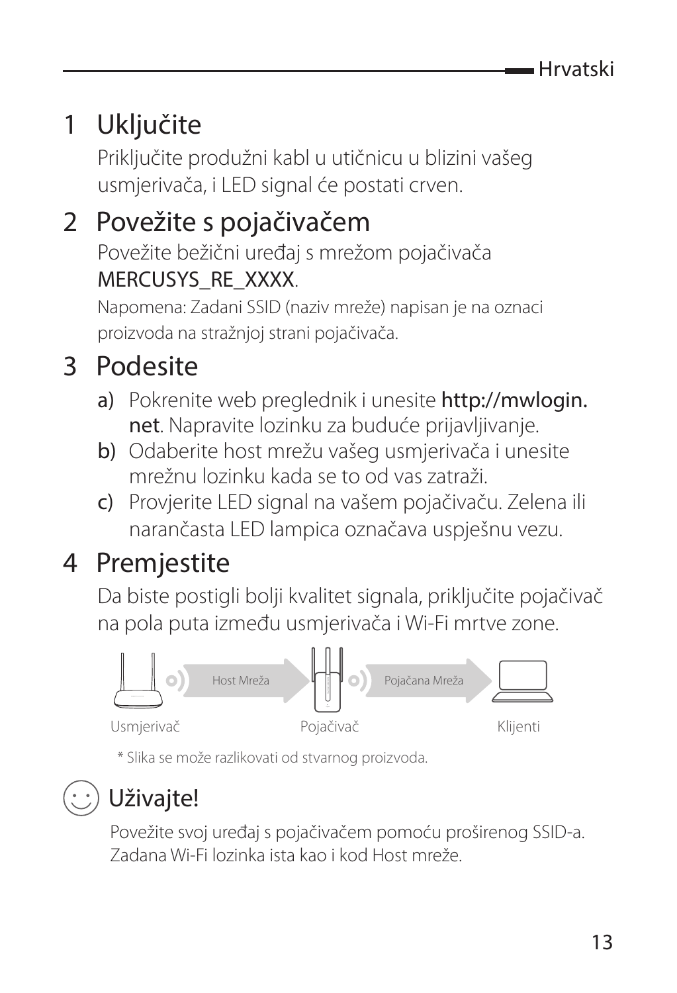### 1 Ukliučite

Priključite produžni kabl u utičnicu u blizini vašeg usmjerivača, i LED signal će postati crven.

### 2 Povežite s pojačivačem

Povežite bežični uređaj s mrežom pojačivača MERCUSYS\_RE\_XXXX.

Napomena: Zadani SSID (naziv mreže) napisan je na oznaci proizvoda na stražnjoj strani pojačivača.

### 3 Podesite

- a) Pokrenite web preglednik i unesite http://mwlogin. net. Napravite lozinku za buduće prijavljivanje.
- b) Odaberite host mrežu vašeg usmjerivača i unesite mrežnu lozinku kada se to od vas zatraži.
- c) Provjerite LED signal na vašem pojačivaču. Zelena ili narančasta LED lampica označava uspješnu vezu.

### 4 Premjestite

Da biste postigli bolji kvalitet signala, priključite pojačivač na pola puta između usmjerivača i Wi-Fi mrtve zone.



\* Slika se može razlikovati od stvarnog proizvoda.

### Uživaite!

Povežite svoj uređaj s pojačivačem pomoću proširenog SSID-a. Zadana Wi-Fi lozinka ista kao i kod Host mreže.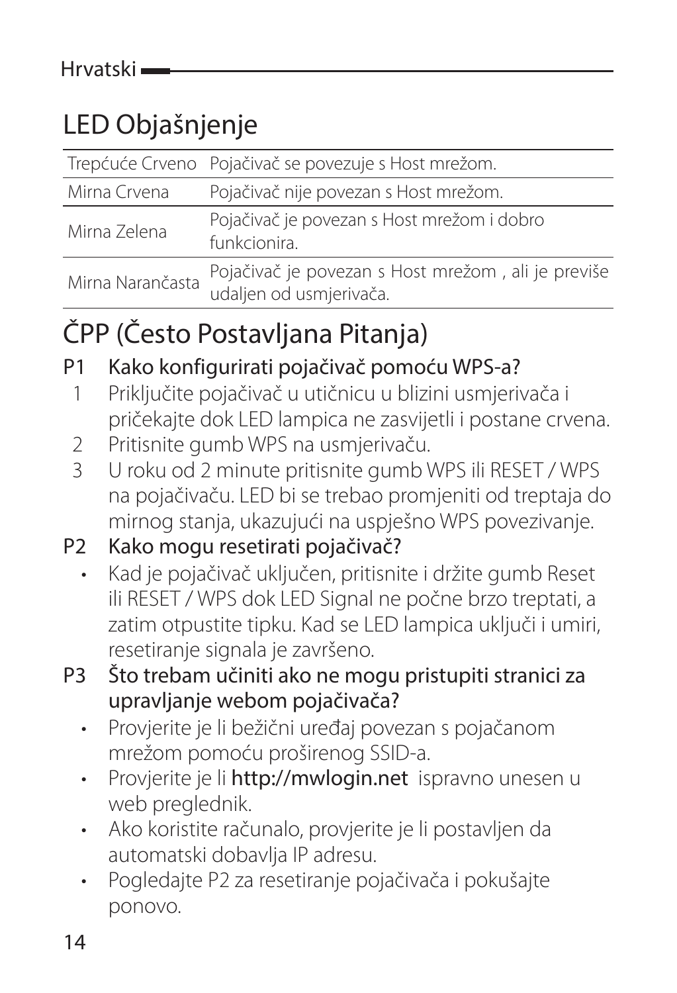### LED Objašnjenje

|                  | Trepćuće Crveno Pojačivač se povezuje s Host mrežom.                          |
|------------------|-------------------------------------------------------------------------------|
| Mirna Crvena     | Pojačivač nije povezan s Host mrežom.                                         |
| Mirna Zelena     | Pojačivač je povezan s Host mrežom i dobro<br>funkcionira.                    |
| Mirna Narančasta | Pojačivač je povezan s Host mrežom, ali je previše<br>udaljen od usmjerivača. |

### ČPP (Često Postavljana Pitanja)

P1 Kako konfigurirati pojačivač pomoću WPS-a?

- 1 Priključite pojačivač u utičnicu u blizini usmjerivača i pričekajte dok LED lampica ne zasvijetli i postane crvena.
- 2 Pritisnite gumb WPS na usmjerivaču.
- 3 U roku od 2 minute pritisnite gumb WPS ili RESET / WPS na pojačivaču. LED bi se trebao promjeniti od treptaja do mirnog stanja, ukazujući na uspješno WPS povezivanje.
- P2 Kako mogu resetirati pojačivač?
	- Kad je pojačivač uključen, pritisnite i držite gumb Reset ili RESET / WPS dok LED Signal ne počne brzo treptati, a zatim otpustite tipku. Kad se LED lampica uključi i umiri, resetiranje signala je završeno.
- P3 Što trebam učiniti ako ne mogu pristupiti stranici za upravljanje webom pojačivača?
	- Provjerite je li bežični uređaj povezan s pojačanom mrežom pomoću proširenog SSID-a.
	- Provjerite je li http://mwlogin.net ispravno unesen u web preglednik.
	- Ako koristite računalo, provjerite je li postavljen da automatski dobavlja IP adresu.
	- Pogledajte P2 za resetiranje pojačivača i pokušajte ponovo.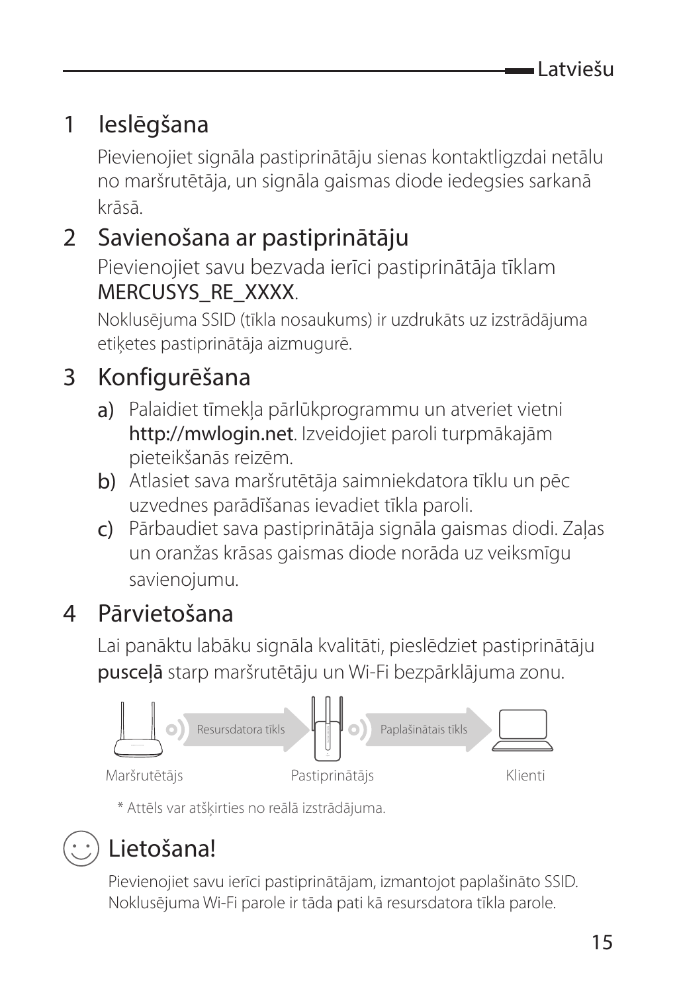#### 1 Ieslēgšana

Pievienojiet signāla pastiprinātāju sienas kontaktligzdai netālu no maršrutētāja, un signāla gaismas diode iedegsies sarkanā krāsā.

#### 2 Savienošana ar pastiprinātāju

Pievienojiet savu bezvada ierīci pastiprinātāja tīklam MERCUSYS\_RE\_XXXX.

Noklusējuma SSID (tīkla nosaukums) ir uzdrukāts uz izstrādājuma etiķetes pastiprinātāja aizmugurē.

#### 3 Konfigurēšana

- a) Palaidiet tīmekļa pārlūkprogrammu un atveriet vietni http://mwlogin.net. Izveidojiet paroli turpmākajām pieteikšanās reizēm.
- b) Atlasiet sava maršrutētāja saimniekdatora tīklu un pēc uzvednes parādīšanas ievadiet tīkla paroli.
- c) Pārbaudiet sava pastiprinātāja signāla gaismas diodi. Zaļas un oranžas krāsas gaismas diode norāda uz veiksmīgu savienojumu.

#### 4 Pārvietošana

Lai panāktu labāku signāla kvalitāti, pieslēdziet pastiprinātāju pusceļā starp maršrutētāju un Wi-Fi bezpārklājuma zonu.



\* Attēls var atšķirties no reālā izstrādājuma.

### Lietošana!

Pievienojiet savu ierīci pastiprinātājam, izmantojot paplašināto SSID. Noklusējuma Wi-Fi parole ir tāda pati kā resursdatora tīkla parole.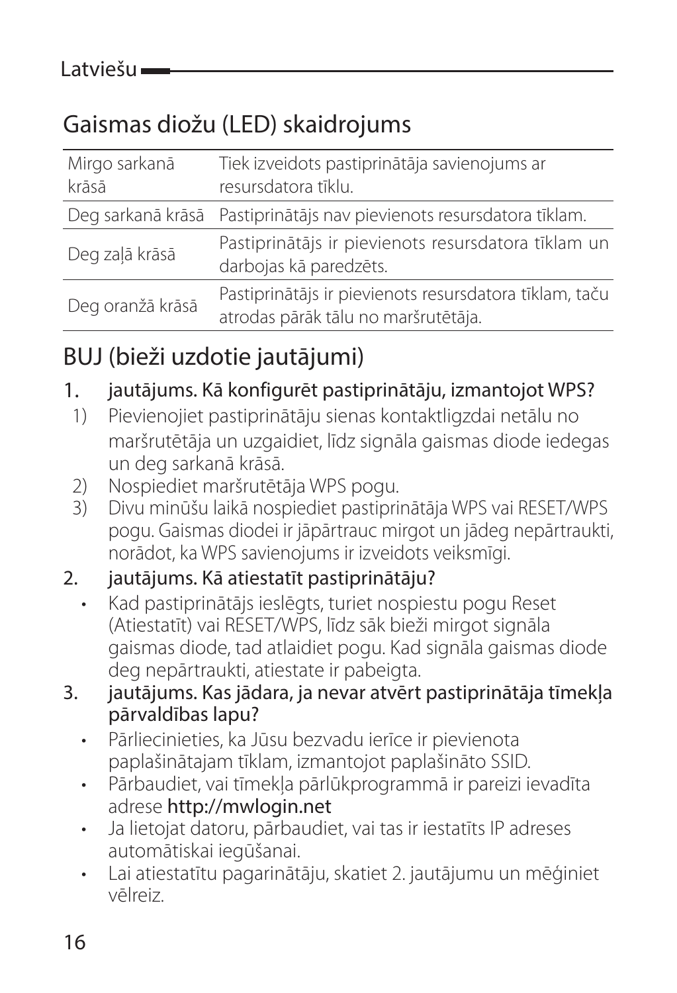### Gaismas diožu (LED) skaidrojums

| Mirgo sarkanā<br>krāsā | Tiek izveidots pastiprinātāja savienojums ar<br>resursdatora tīklu.                           |
|------------------------|-----------------------------------------------------------------------------------------------|
|                        | Deg sarkanā krāsā Pastiprinātājs nav pievienots resursdatora tīklam.                          |
| Deg zalā krāsā         | Pastiprinātājs ir pievienots resursdatora tīklam un<br>darbojas kā paredzēts.                 |
| Deg oranžā krāsā       | Pastiprinātājs ir pievienots resursdatora tīklam, taču<br>atrodas pārāk tālu no maršrutētāja. |

#### BUJ (bieži uzdotie jautājumi)

#### 1. jautājums. Kā konfigurēt pastiprinātāju, izmantojot WPS?

- 1) Pievienojiet pastiprinātāju sienas kontaktligzdai netālu no maršrutētāja un uzgaidiet, līdz signāla gaismas diode iedegas un deg sarkanā krāsā.
- 2) Nospiediet maršrutētāja WPS pogu.
- 3) Divu minūšu laikā nospiediet pastiprinātāja WPS vai RESET/WPS pogu. Gaismas diodei ir jāpārtrauc mirgot un jādeg nepārtraukti, norādot, ka WPS savienojums ir izveidots veiksmīgi.

#### 2. jautājums. Kā atiestatīt pastiprinātāju?

- Kad pastiprinātājs ieslēgts, turiet nospiestu pogu Reset (Atiestatīt) vai RESET/WPS, līdz sāk bieži mirgot signāla gaismas diode, tad atlaidiet pogu. Kad signāla gaismas diode deg nepārtraukti, atiestate ir pabeigta.
- 3. jautājums. Kas jādara, ja nevar atvērt pastiprinātāja tīmekļa pārvaldības lapu?
	- Pārliecinieties, ka Jūsu bezvadu ierīce ir pievienota paplašinātajam tīklam, izmantojot paplašināto SSID.
	- Pārbaudiet, vai tīmekļa pārlūkprogrammā ir pareizi ievadīta adrese http://mwlogin.net
	- Ja lietojat datoru, pārbaudiet, vai tas ir iestatīts IP adreses automātiskai iegūšanai.
	- Lai atiestatītu pagarinātāju, skatiet 2. jautājumu un mēģiniet vēlreiz.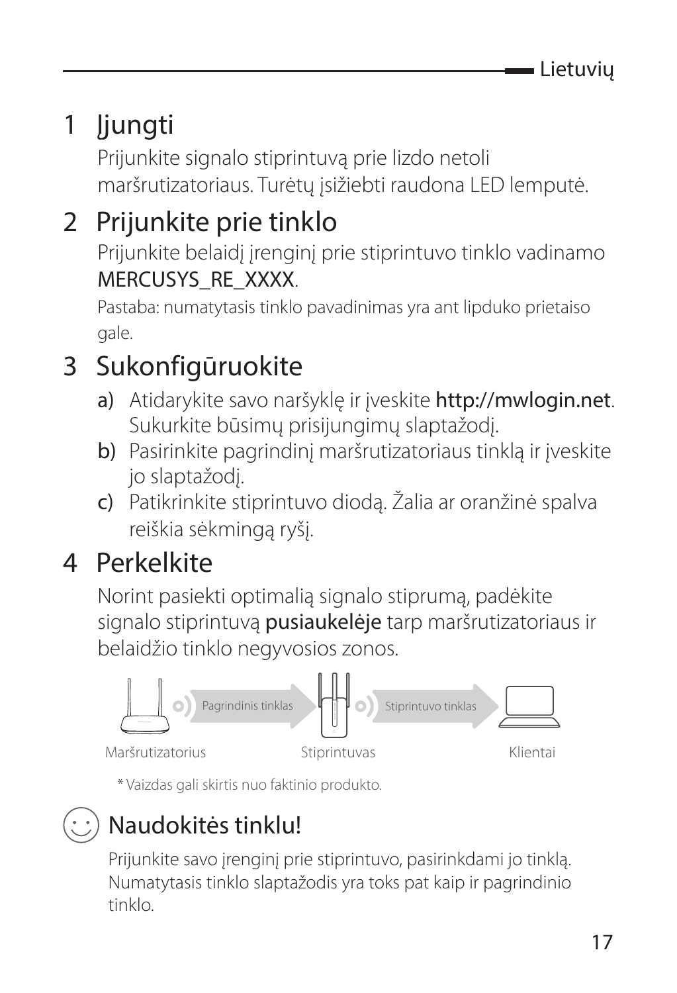### 1 Įjungti

Prijunkite signalo stiprintuvą prie lizdo netoli maršrutizatoriaus. Turėtų įsižiebti raudona LED lemputė.

### 2 Prijunkite prie tinklo

Prijunkite belaidį įrenginį prie stiprintuvo tinklo vadinamo MERCUSYS\_RE\_XXXX.

Pastaba: numatytasis tinklo pavadinimas yra ant lipduko prietaiso gale.

### 3 Sukonfigūruokite

- a) Atidarykite savo naršyklę ir įveskite http://mwlogin.net. Sukurkite būsimų prisijungimų slaptažodį.
- b) Pasirinkite pagrindinį maršrutizatoriaus tinklą ir įveskite jo slaptažodį.
- c) Patikrinkite stiprintuvo diodą. Žalia ar oranžinė spalva reiškia sėkmingą ryšį.

#### 4 Perkelkite

Norint pasiekti optimalią signalo stiprumą, padėkite signalo stiprintuvą pusiaukelėje tarp maršrutizatoriaus ir belaidžio tinklo negyvosios zonos.



\* Vaizdas gali skirtis nuo faktinio produkto.

### Naudokitės tinklu!

Prijunkite savo įrenginį prie stiprintuvo, pasirinkdami jo tinklą. Numatytasis tinklo slaptažodis yra toks pat kaip ir pagrindinio tinklo.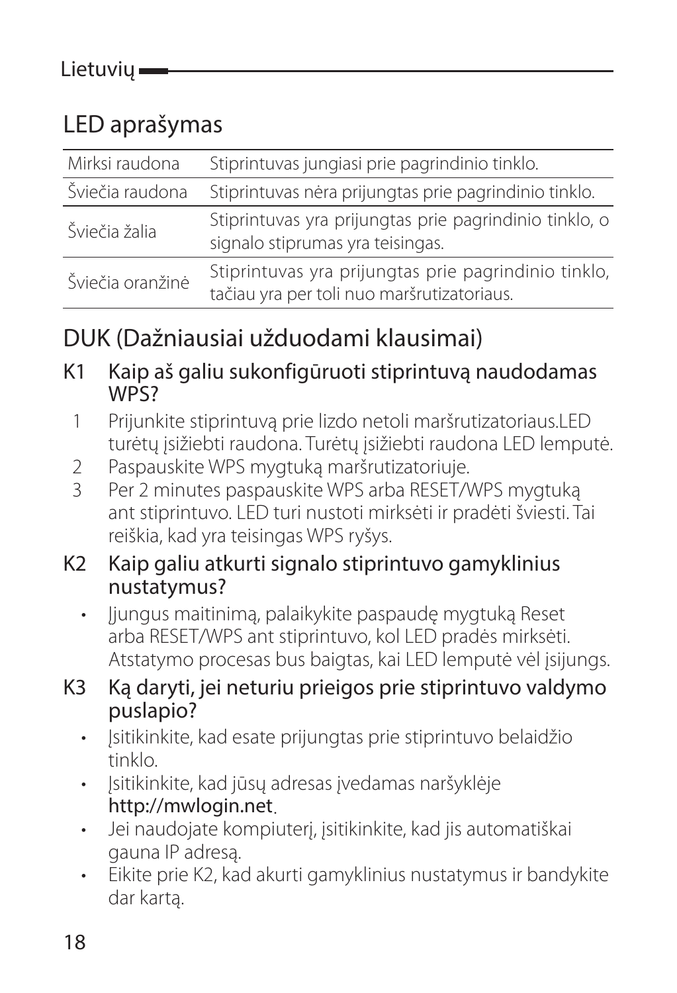#### LED aprašymas

| Mirksi raudona   | Stiprintuvas jungiasi prie pagrindinio tinklo.                                                     |
|------------------|----------------------------------------------------------------------------------------------------|
| Šviečia raudona  | Stiprintuvas nėra prijungtas prie pagrindinio tinklo.                                              |
| Šviečia žalia    | Stiprintuvas yra prijungtas prie pagrindinio tinklo, o<br>signalo stiprumas yra teisingas.         |
| Šviečia oranžinė | Stiprintuvas yra prijungtas prie pagrindinio tinklo,<br>tačiau yra per toli nuo maršrutizatoriaus. |

#### DUK (Dažniausiai užduodami klausimai)

K1 Kaip aš galiu sukonfigūruoti stiprintuvą naudodamas WPS?

- 1 Prijunkite stiprintuvą prie lizdo netoli maršrutizatoriaus.LED turėtų įsižiebti raudona. Turėtų įsižiebti raudona LED lemputė.
- 2 Paspauskite WPS mygtuką maršrutizatoriuje.<br>3 Per 2 minutes paspauskite WPS arba RESET/V
- Per 2 minutes paspauskite WPS arba RESET/WPS mygtuką ant stiprintuvo. LED turi nustoti mirksėti ir pradėti šviesti. Tai reiškia, kad yra teisingas WPS ryšys.

#### K2 Kaip galiu atkurti signalo stiprintuvo gamyklinius nustatymus?

- liungus maitinima, palaikykite paspaude mygtuką Reset arba RESET/WPS ant stiprintuvo, kol LED pradės mirksėti. Atstatymo procesas bus baigtas, kai LED lemputė vėl įsijungs.
- K3 Ką daryti, jei neturiu prieigos prie stiprintuvo valdymo puslapio?
	- Įsitikinkite, kad esate prijungtas prie stiprintuvo belaidžio tinklo.
	- Isitikinkite, kad jūsų adresas įvedamas naršyklėje http://mwlogin.net.
	- Jei naudojate kompiuterį, įsitikinkite, kad jis automatiškai gauna IP adresą.
	- Eikite prie K2, kad akurti gamyklinius nustatymus ir bandykite dar kartą.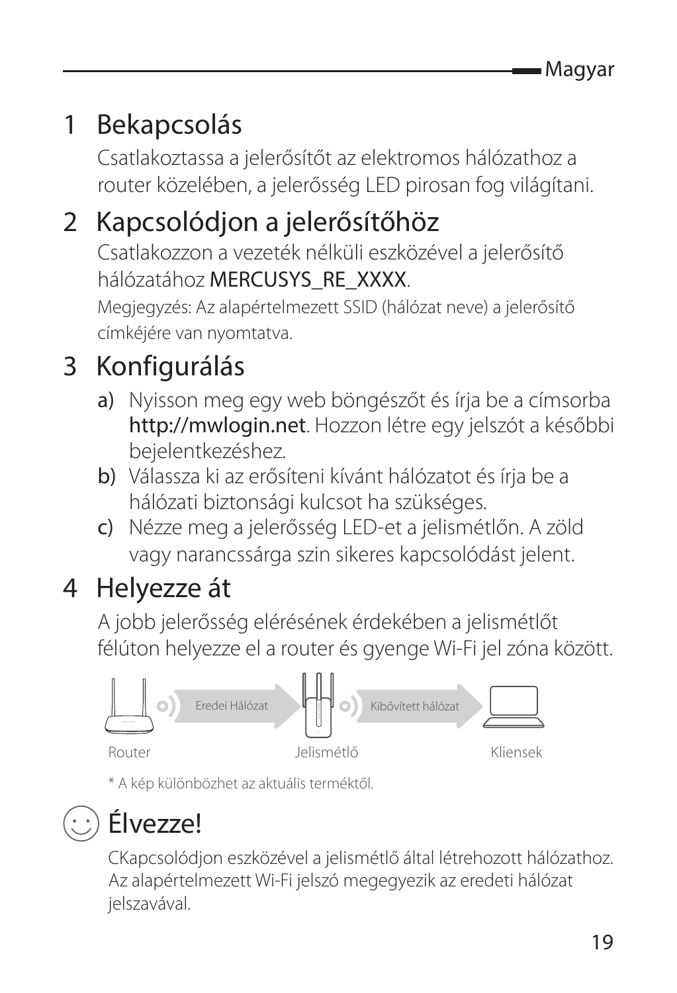### 1 Bekapcsolás

Csatlakoztassa a jelerősítőt az elektromos hálózathoz a router közelében, a jelerősség LED pirosan fog világítani.

### 2 Kapcsolódjon a jelerősítőhöz

Csatlakozzon a vezeték nélküli eszközével a jelerősítő hálózatához MERCUSYS\_RE\_XXXX.

Megjegyzés: Az alapértelmezett SSID (hálózat neve) a jelerősítő címkéjére van nyomtatva.

### 3 Konfigurálás

- a) Nyisson meg egy web böngészőt és írja be a címsorba http://mwlogin.net. Hozzon létre egy jelszót a későbbi bejelentkezéshez.
- b) Válassza ki az erősíteni kívánt hálózatot és írja be a hálózati biztonsági kulcsot ha szükséges.
- c) Nézze meg a jelerősség LED-et a jelismétlőn. A zöld vagy narancssárga szin sikeres kapcsolódást jelent.

### 4 Helyezze át

A jobb jelerősség elérésének érdekében a jelismétlőt félúton helyezze el a router és gyenge Wi-Fi jel zóna között.



\* A kép különbözhet az aktuális terméktől.

### Élvezze!

CKapcsolódjon eszközével a jelismétlő által létrehozott hálózathoz. Az alapértelmezett Wi-Fi jelszó megegyezik az eredeti hálózat jelszavával.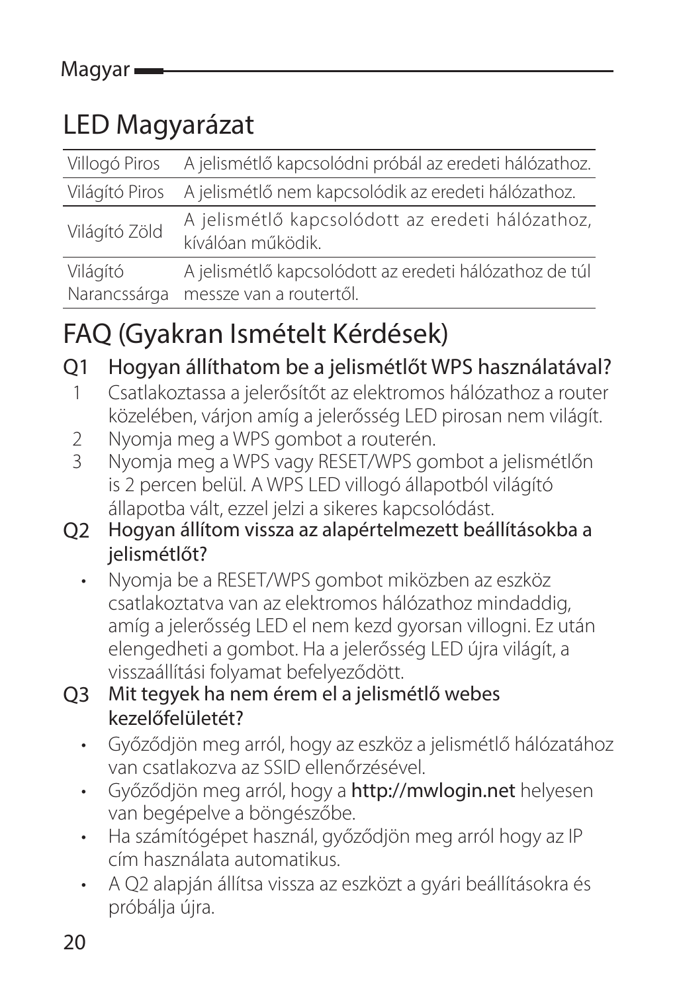### LED Magyarázat

|                | Villogó Piros A jelismétlő kapcsolódni próbál az eredeti hálózathoz.  |
|----------------|-----------------------------------------------------------------------|
| Világító Piros | A jelismétlő nem kapcsolódik az eredeti hálózathoz.                   |
| Világító Zöld  | A jelismétlő kapcsolódott az eredeti hálózathoz,<br>kíválóan működik. |
| Világító       | A jelismétlő kapcsolódott az eredeti hálózathoz de túl                |
| Narancssárga   | messze van a routertől.                                               |

### FAQ (Gyakran Ismételt Kérdések)

Q1 Hogyan állíthatom be a jelismétlőt WPS használatával?

- 1 Csatlakoztassa a jelerősítőt az elektromos hálózathoz a router közelében, várjon amíg a jelerősség LED pirosan nem világít.
- 2 Nyomja meg a WPS gombot a routerén.<br>3 Nyomja mog a WPS vagy PESET ANDS go
- Nyomja meg a WPS vagy RESET/WPS gombot a jelismétlőn is 2 percen belül. A WPS LED villogó állapotból világító állapotba vált, ezzel jelzi a sikeres kapcsolódást.
- Q2 Hogyan állítom vissza az alapértelmezett beállításokba a ielismétlőt?
	- Nyomja be a RESET/WPS gombot miközben az eszköz csatlakoztatva van az elektromos hálózathoz mindaddig, amíg a jelerősség LED el nem kezd gyorsan villogni. Ez után elengedheti a gombot. Ha a jelerősség LED újra világít, a visszaállítási folyamat befelyeződött.
- Q3 Mit tegyek ha nem érem el a jelismétlő webes kezelőfelületét?
	- Győződjön meg arról, hogy az eszköz a jelismétlő hálózatához van csatlakozva az SSID ellenőrzésével.
	- Győződjön meg arról, hogy a http://mwlogin.net helyesen van begépelve a böngészőbe.
	- Ha számítógépet használ, győződjön meg arról hogy az IP cím használata automatikus.
	- A Q2 alapján állítsa vissza az eszközt a gyári beállításokra és próbálja újra.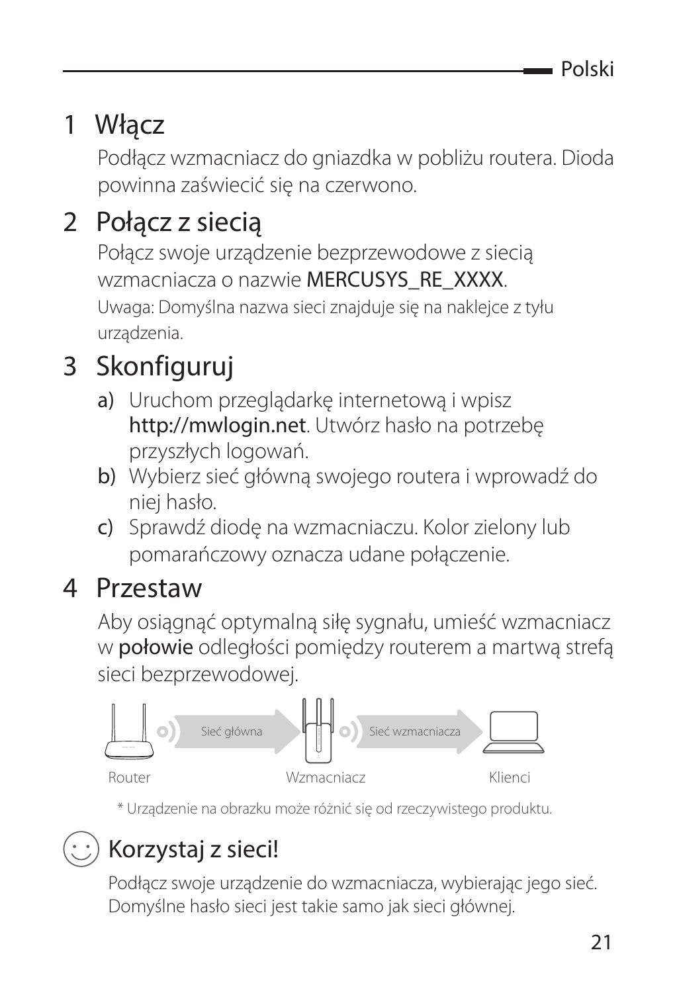### 1 Włącz

Podłącz wzmacniacz do gniazdka w pobliżu routera. Dioda powinna zaświecić się na czerwono.

### 2 Połacz z siecia

Połącz swoje urządzenie bezprzewodowe z siecią wzmacniacza o nazwie MERCUSYS\_RE\_XXXX. Uwaga: Domyślna nazwa sieci znajduje się na naklejce z tyłu urządzenia.

### 3 Skonfiguruj

- a) Uruchom przeglądarkę internetową i wpisz http://mwlogin.net. Utwórz hasło na potrzebę przyszłych logowań.
- b) Wybierz sieć główną swojego routera i wprowadź do niej hasło.
- c) Sprawdź diodę na wzmacniaczu. Kolor zielony lub pomarańczowy oznacza udane połączenie.

#### 4 Przestaw

Aby osiągnąć optymalną siłę sygnału, umieść wzmacniacz w **połowie** odległości pomiędzy routerem a martwa strefa sieci bezprzewodowej.



\* Urządzenie na obrazku może różnić się od rzeczywistego produktu.

## Korzystaj z sieci!

Podłącz swoje urządzenie do wzmacniacza, wybierając jego sieć. Domyślne hasło sieci jest takie samo jak sieci głównej.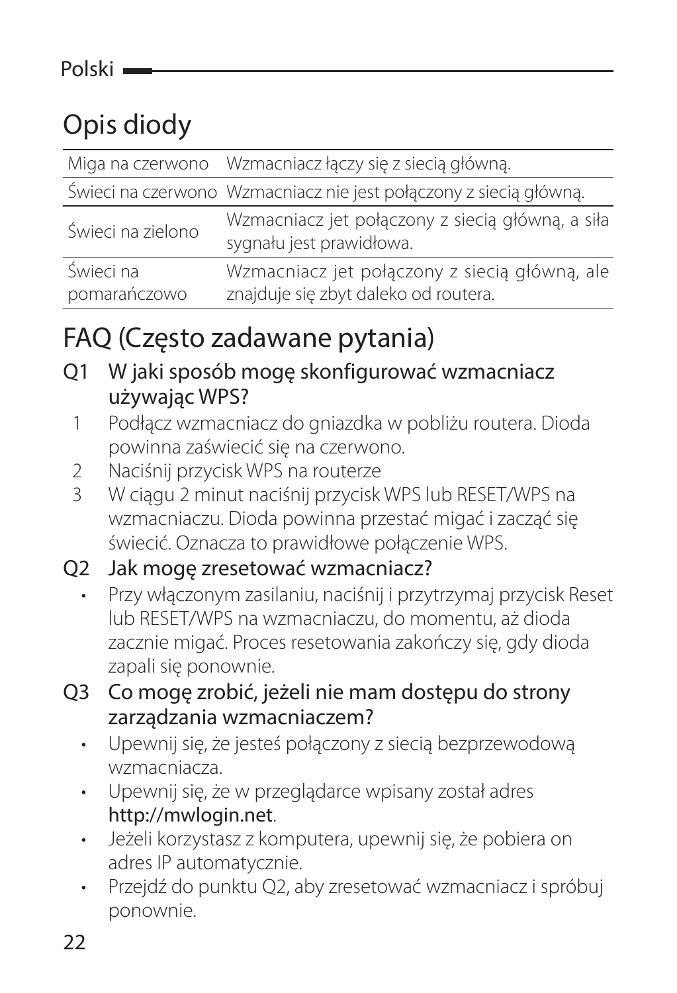### Opis diody

|                   | Miga na czerwono Wzmacniacz łączy się z siecią główną.                       |
|-------------------|------------------------------------------------------------------------------|
|                   | Świeci na czerwono Wzmacniacz nie jest połączony z siecią główną.            |
| Świeci na zielono | Wzmacniacz jet połączony z siecią główną, a siła<br>sygnału jest prawidłowa. |
| Świeci na         | Wzmacniacz jet połączony z siecią główną, ale                                |
| pomarańczowo      | znajduje się zbyt daleko od routera.                                         |

#### FAQ (Często zadawane pytania)

- Q1 W jaki sposób mogę skonfigurować wzmacniacz używając WPS?
	- 1 Podłącz wzmacniacz do gniazdka w pobliżu routera. Dioda powinna zaświecić się na czerwono.
	- 2 Naciśnij przycisk WPS na routerze<br>3 W cjagu 2 minut naciśnii przycisk
	- 3 W ciągu 2 minut naciśnij przycisk WPS lub RESET/WPS na wzmacniaczu. Dioda powinna przestać migać i zacząć się świecić. Oznacza to prawidłowe połączenie WPS.

#### Q2 Jak mogę zresetować wzmacniacz?

- Przy włączonym zasilaniu, naciśnij i przytrzymaj przycisk Reset lub RESET/WPS na wzmacniaczu, do momentu, aż dioda zacznie migać. Proces resetowania zakończy się, gdy dioda zapali się ponownie.
- Q3 Co mogę zrobić, jeżeli nie mam dostępu do strony zarządzania wzmacniaczem?
	- Upewnij się, że jesteś połączony z siecią bezprzewodową wzmacniacza.
	- Upewnij się, że w przeglądarce wpisany został adres http://mwlogin.net.
	- Jeżeli korzystasz z komputera, upewnij się, że pobiera on adres IP automatycznie.
	- Przejdź do punktu Q2, aby zresetować wzmacniacz i spróbuj ponownie.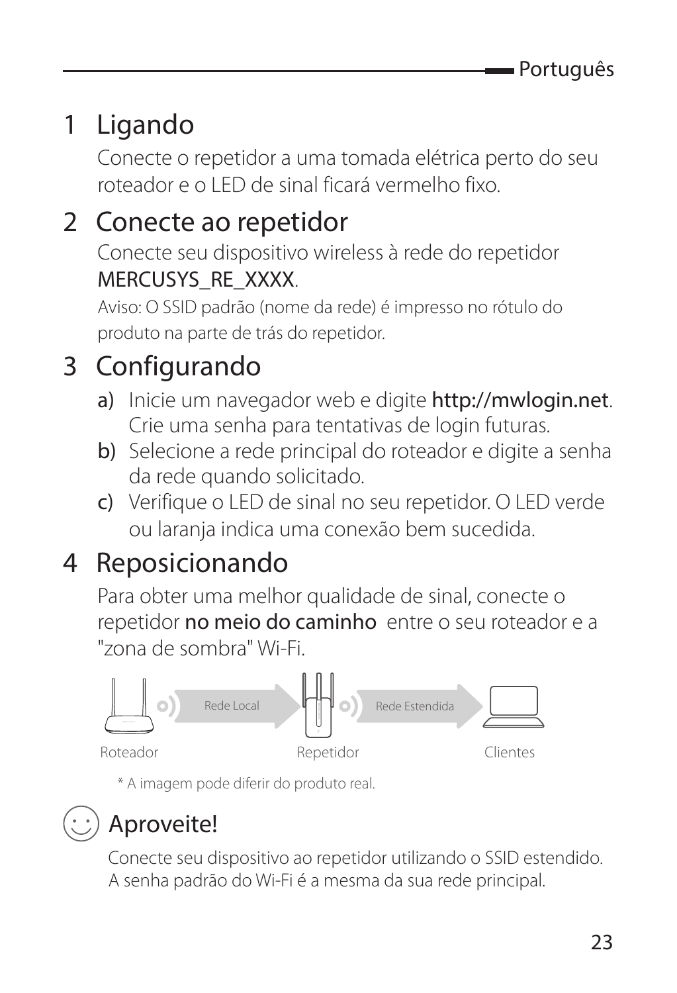### 1 Ligando

Conecte o repetidor a uma tomada elétrica perto do seu roteador e o LED de sinal ficará vermelho fixo.

### 2 Conecte ao repetidor

Conecte seu dispositivo wireless à rede do repetidor MERCUSYS\_RE\_XXXX.

Aviso: O SSID padrão (nome da rede) é impresso no rótulo do produto na parte de trás do repetidor.

### 3 Configurando

- a) Inicie um navegador web e digite http://mwlogin.net. Crie uma senha para tentativas de login futuras.
- b) Selecione a rede principal do roteador e digite a senha da rede quando solicitado.
- c) Verifique o LED de sinal no seu repetidor. O LED verde ou laranja indica uma conexão bem sucedida.

### 4 Reposicionando

Para obter uma melhor qualidade de sinal, conecte o repetidor no meio do caminho entre o seu roteador e a "zona de sombra" Wi-Fi.



\* A imagem pode diferir do produto real.

### Aproveite!

Conecte seu dispositivo ao repetidor utilizando o SSID estendido. A senha padrão do Wi-Fi é a mesma da sua rede principal.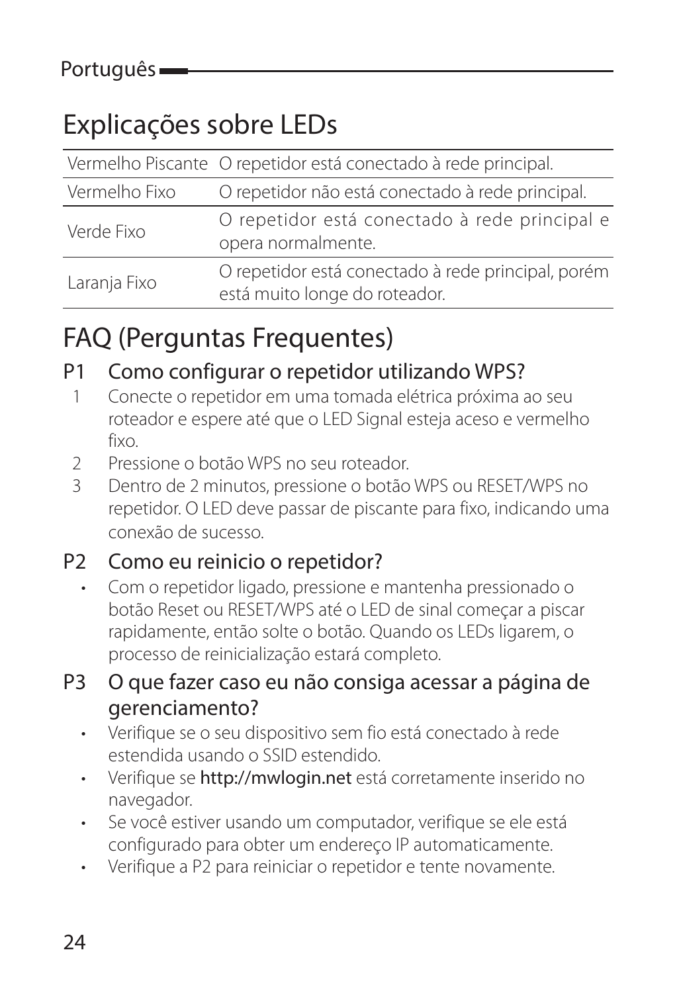### Explicações sobre LEDs

|               | Vermelho Piscante O repetidor está conectado à rede principal.                      |
|---------------|-------------------------------------------------------------------------------------|
| Vermelho Fixo | O repetidor não está conectado à rede principal.                                    |
| Verde Fixo    | O repetidor está conectado à rede principal e<br>opera normalmente.                 |
| Laranja Fixo  | O repetidor está conectado à rede principal, porém<br>está muito longe do roteador. |

### FAQ (Perguntas Frequentes)

#### P1 Como configurar o repetidor utilizando WPS?

- 1 Conecte o repetidor em uma tomada elétrica próxima ao seu roteador e espere até que o LED Signal esteja aceso e vermelho fixo.
- 2 Pressione o botão WPS no seu roteador.
- 3 Dentro de 2 minutos, pressione o botão WPS ou RESET/WPS no repetidor. O LED deve passar de piscante para fixo, indicando uma conexão de sucesso.

#### P2 Como eu reinicio o repetidor?

• Com o repetidor ligado, pressione e mantenha pressionado o botão Reset ou RESET/WPS até o LED de sinal começar a piscar rapidamente, então solte o botão. Quando os LEDs ligarem, o processo de reinicialização estará completo.

#### P3 O que fazer caso eu não consiga acessar a página de gerenciamento?

- Verifique se o seu dispositivo sem fio está conectado à rede estendida usando o SSID estendido.
- Verifique se http://mwlogin.net está corretamente inserido no navegador.
- Se você estiver usando um computador, verifique se ele está configurado para obter um endereço IP automaticamente.
- Verifique a P2 para reiniciar o repetidor e tente novamente.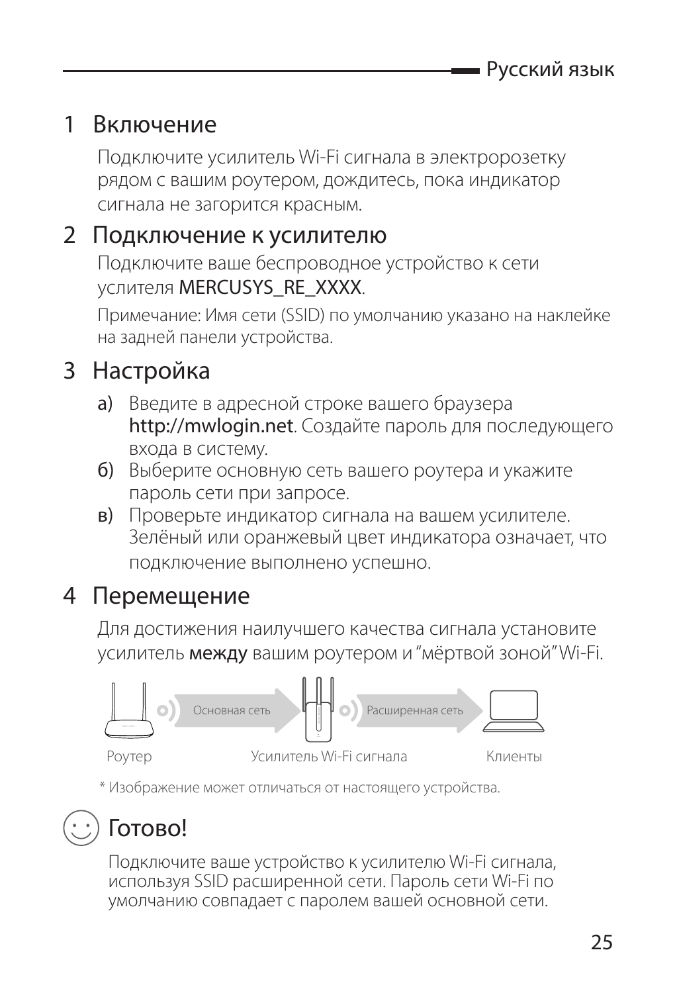#### 1 Включение

Подключите усилитель Wi-Fi сигнала в электророзетку рядом с вашим роутером, дождитесь, пока индикатор cигнала не загорится красным.

#### 2 Подключение к усилителю

Подключите ваше беспроводное устройство к сети услителя MERCUSYS\_RE\_XXXX.

Примечание: Имя сети (SSID) по умолчанию указано на наклейке на задней панели устройства.

#### 3 Настройка

- a) Введите в адресной строке вашего браузера http://mwlogin.net. Создайте пароль для последующего входа в систему.
- б) Выберите основную сеть вашего роутера и укажите пароль сети при запросе.
- в) Проверьте индикатор сигнала на вашем усилителе. Зелёный или оранжевый цвет индикатора означает, что подключение выполнено успешно.

#### 4 Перемещение

Для достижения наилучшего качества сигнала установите усилитель между вашим роутером и "мёртвой зоной" Wi-Fi.



\* Изображение может отличаться от настоящего устройства.



### Готово!

Подключите ваше устройство к усилителю Wi-Fi сигнала, используя SSID расширенной сети. Пароль сети Wi-Fi по умолчанию совпадает с паролем вашей основной сети.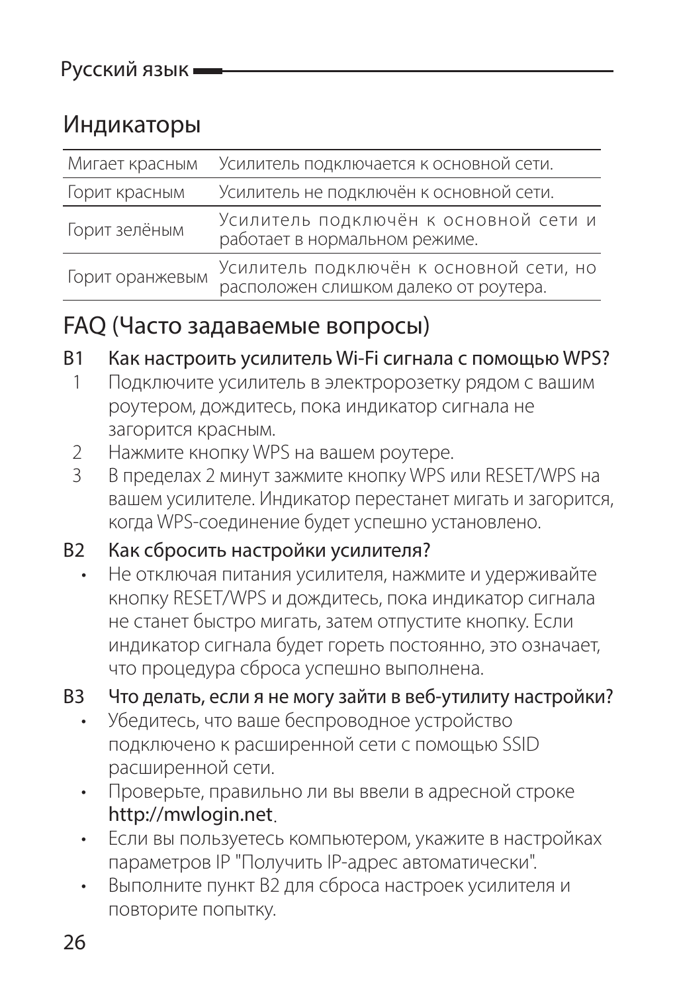#### Индикаторы

| Мигает красным  | Усилитель подключается к основной сети.                                          |
|-----------------|----------------------------------------------------------------------------------|
| Горит красным   | Усилитель не подключён к основной сети.                                          |
| Горит зелёным   | Усилитель подключён к основной сети и<br>работает в нормальном режиме.           |
| Горит оранжевым | Усилитель подключён к основной сети, но<br>расположен слишком далеко от роутера. |

#### FAQ (Часто задаваемые вопросы)

В1 Как настроить усилитель Wi-Fi сигнала с помощью WPS?

- 1 Подключите усилитель в электророзетку рядом с вашим роутером, дождитесь, пока индикатор сигнала не загорится красным.
- 2 Нажмите кнопку WPS на вашем роутере.<br>3 В пределах 2 минут зажмите кнопку WPS и
- В пределах 2 минут зажмите кнопку WPS или RESET/WPS на вашем усилителе. Индикатор перестанет мигать и загорится, когда WPS-соединение будет успешно установлено.

#### В2 Как сбросить настройки усилителя?

• Не отключая питания усилителя, нажмите и удерживайте кнопку RESET/WPS и дождитесь, пока индикатор сигнала не станет быстро мигать, затем отпустите кнопку. Если индикатор сигнала будет гореть постоянно, это означает, что процедура сброса успешно выполнена.

#### В3 Что делать, если я не могу зайти в веб-утилиту настройки?

- Убедитесь, что ваше беспроводное устройство подключено к расширенной сети с помощью SSID расширенной сети.
- Проверьте, правильно ли вы ввели в адресной строке http://mwlogin.net.
- Если вы пользуетесь компьютером, укажите в настройках параметров IP "Получить IP-адрес автоматически".
- Выполните пункт В2 для сброса настроек усилителя и повторите попытку.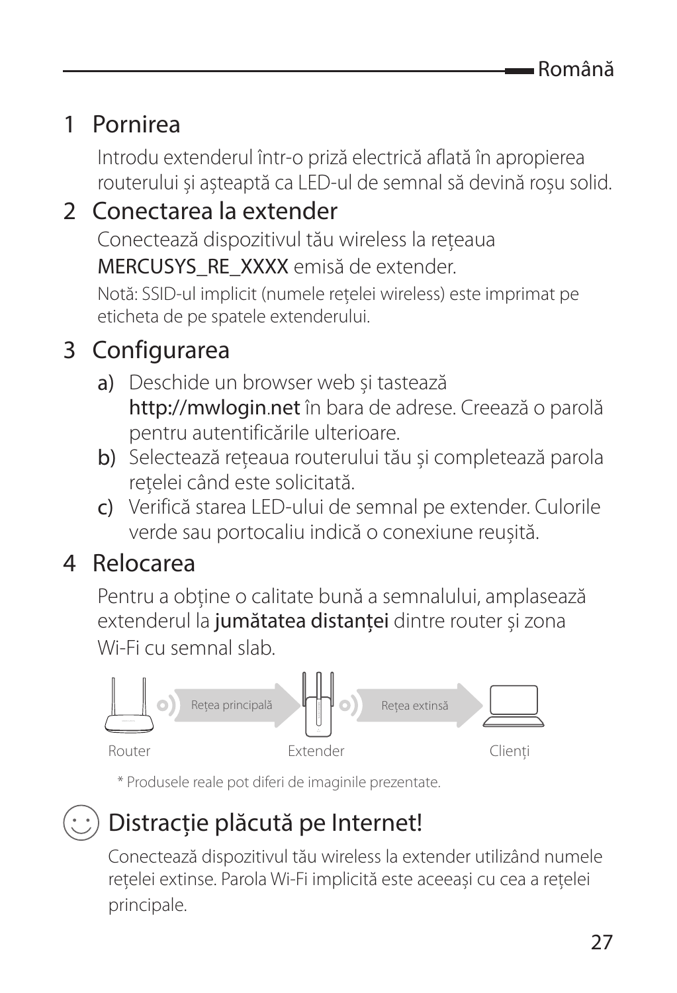#### 1 Pornirea

Introdu extenderul într-o priză electrică aflată în apropierea routerului și așteaptă ca LED-ul de semnal să devină roșu solid.

#### 2 Conectarea la extender

Conectează dispozitivul tău wireless la rețeaua

MERCUSYS\_RE\_XXXX emisă de extender.

Notă: SSID-ul implicit (numele rețelei wireless) este imprimat pe eticheta de pe spatele extenderului.

#### 3 Configurarea

- a) Deschide un browser web și tastează http://mwlogin.net în bara de adrese. Creează o parolă pentru autentificările ulterioare.
- b) Selectează rețeaua routerului tău și completează parola rețelei când este solicitată.
- c) Verifică starea LED-ului de semnal pe extender. Culorile verde sau portocaliu indică o conexiune reușită.

#### 4 Relocarea

Pentru a obține o calitate bună a semnalului, amplasează extenderul la jumătatea distanței dintre router și zona Wi-Fi cu semnal slab.



\* Produsele reale pot diferi de imaginile prezentate.

### $\langle \cdot \rangle$  Distractie plăcută pe Internet!

Conectează dispozitivul tău wireless la extender utilizând numele rețelei extinse. Parola Wi-Fi implicită este aceeași cu cea a rețelei principale.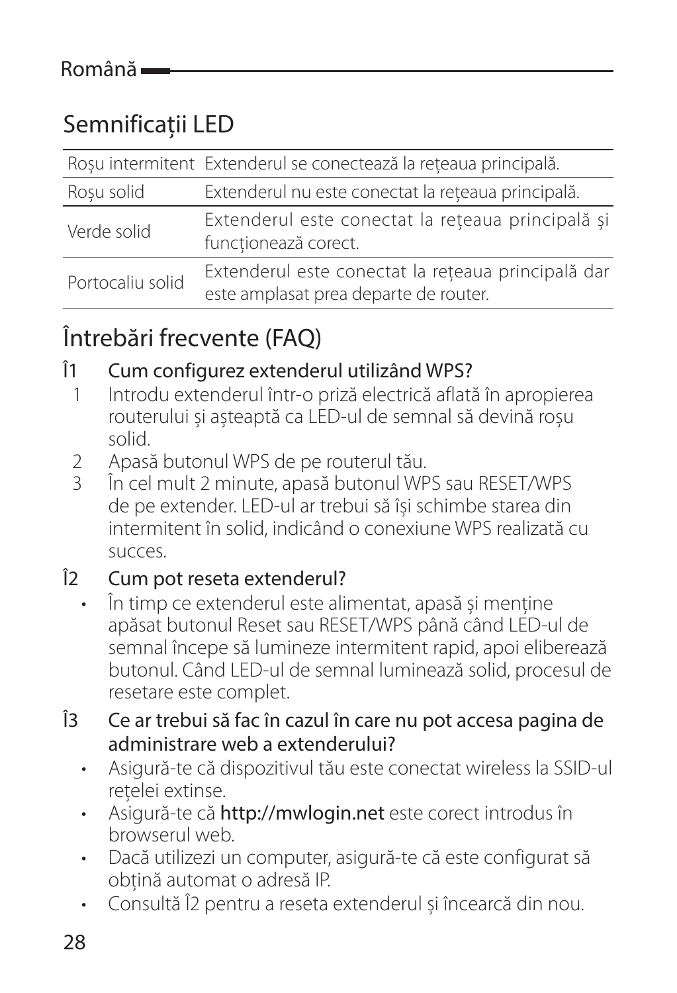#### Semnificații LED

|                  | Roșu intermitent Extenderul se conectează la rețeaua principală.                            |
|------------------|---------------------------------------------------------------------------------------------|
| Rosu solid       | Extenderul nu este conectat la rețeaua principală.                                          |
| Verde solid      | Extenderul este conectat la rețeaua principală și<br>functionează corect.                   |
| Portocaliu solid | Extenderul este conectat la rețeaua principală dar<br>este amplasat prea departe de router. |

#### Întrebări frecvente (FAQ)

## Î1 Cum configurez extenderul utilizând WPS?<br>
1 Introdu extenderul într-o priză electrică aflati

- 1 Introdu extenderul într-o priză electrică aflată în apropierea routerului și așteaptă ca LED-ul de semnal să devină roșu solid.
- 2 Apasă butonul WPS de pe routerul tău.<br>3 În cel mult 2 minute, apasă butonul WP
- În cel mult 2 minute, apasă butonul WPS sau RESET/WPS de pe extender. LED-ul ar trebui să își schimbe starea din intermitent în solid, indicând o conexiune WPS realizată cu succes.

#### Î2 Cum pot reseta extenderul?

- În timp ce extenderul este alimentat, apasă și menține apăsat butonul Reset sau RESET/WPS până când LED-ul de semnal începe să lumineze intermitent rapid, apoi eliberează butonul. Când LED-ul de semnal luminează solid, procesul de resetare este complet.
- Î3 Ce ar trebui să fac în cazul în care nu pot accesa pagina de administrare web a extenderului?
	- Asigură-te că dispozitivul tău este conectat wireless la SSID-ul rețelei extinse.
	- Asigură-te că http://mwlogin.net este corect introdus în browserul web.
	- Dacă utilizezi un computer, asigură-te că este configurat să obțină automat o adresă IP.
	- Consultă Î2 pentru a reseta extenderul și încearcă din nou.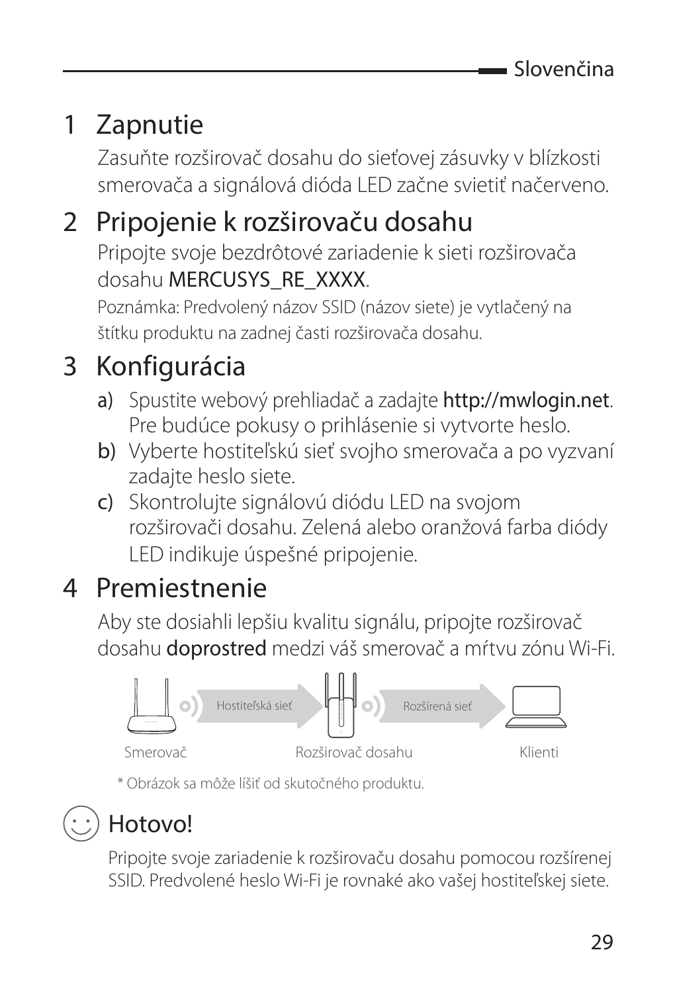### 1 Zapnutie

Zasuňte rozširovač dosahu do sieťovej zásuvky v blízkosti smerovača a signálová dióda LED začne svietiť načerveno.

### 2 Pripojenie k rozširovaču dosahu

Pripojte svoje bezdrôtové zariadenie k sieti rozširovača dosahu MERCUSYS\_RE\_XXXX.

Poznámka: Predvolený názov SSID (názov siete) je vytlačený na štítku produktu na zadnej časti rozširovača dosahu.

### 3 Konfigurácia

- a) Spustite webový prehliadač a zadajte http://mwlogin.net. Pre budúce pokusy o prihlásenie si vytvorte heslo.
- b) Vyberte hostiteľskú sieť svojho smerovača a po vyzvaní zadajte heslo siete.
- c) Skontrolujte signálovú diódu LED na svojom rozširovači dosahu. Zelená alebo oranžová farba diódy LED indikuje úspešné pripojenie.

### 4 Premiestnenie

Aby ste dosiahli lepšiu kvalitu signálu, pripojte rozširovač dosahu doprostred medzi váš smerovač a mŕtvu zónu Wi-Fi.



\* Obrázok sa môže líšiť od skutočného produktu.



### Hotovo!

Pripojte svoje zariadenie k rozširovaču dosahu pomocou rozšírenej SSID. Predvolené heslo Wi-Fi je rovnaké ako vašej hostiteľskej siete.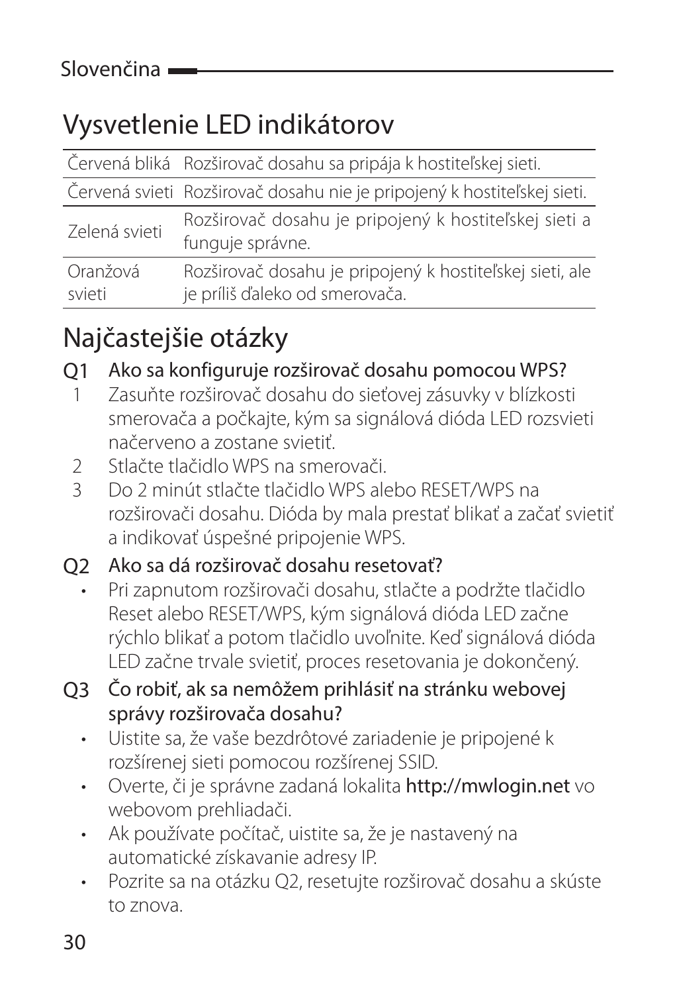### Vysvetlenie LED indikátorov

|               | Červená bliká Rozširovač dosahu sa pripája k hostiteľskej sieti.          |
|---------------|---------------------------------------------------------------------------|
|               | Červená svieti Rozširovač dosahu nie je pripojený k hostiteľskej sieti.   |
| Zelená svieti | Rozširovač dosahu je pripojený k hostiteľskej sieti a<br>funquje správne. |
| Oranžová      | Rozširovač dosahu je pripojený k hostiteľskej sieti, ale                  |
| svieti        | je príliš ďaleko od smerovača.                                            |

### Najčastejšie otázky

Q1 Ako sa konfiguruje rozširovač dosahu pomocou WPS?

- 1 Zasuňte rozširovač dosahu do sieťovej zásuvky v blízkosti smerovača a počkajte, kým sa signálová dióda LED rozsvieti načerveno a zostane svietiť.
- 2 Stlačte tlačidlo WPS na smerovači.<br>3 Do 2 minút stlačte tlačidlo WPS ak
- 3 Do 2 minút stlačte tlačidlo WPS alebo RESET/WPS na rozširovači dosahu. Dióda by mala prestať blikať a začať svietiť a indikovať úspešné pripojenie WPS.

#### Q2 Ako sa dá rozširovač dosahu resetovať?

- Pri zapnutom rozširovači dosahu, stlačte a podržte tlačidlo Reset alebo RESET/WPS, kým signálová dióda LED začne rýchlo blikať a potom tlačidlo uvoľnite. Keď signálová dióda LED začne trvale svietiť, proces resetovania je dokončený.
- Q3 Čo robiť, ak sa nemôžem prihlásiť na stránku webovej správy rozširovača dosahu?
	- Uistite sa, že vaše bezdrôtové zariadenie je pripojené k rozšírenej sieti pomocou rozšírenej SSID.
	- Overte, či je správne zadaná lokalita http://mwlogin.net vo webovom prehliadači.
	- Ak používate počítač, uistite sa, že je nastavený na automatické získavanie adresy IP.
	- Pozrite sa na otázku Q2, resetujte rozširovač dosahu a skúste to znova.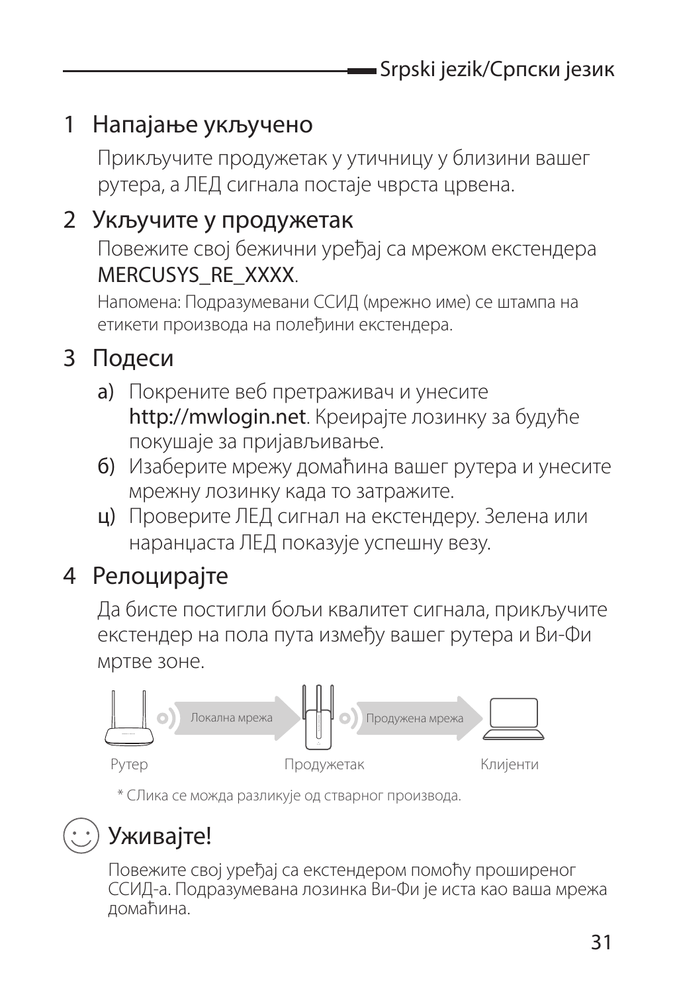#### 1 Напајање укључено

Прикључите продужетак у утичницу у близини вашег рутера, а ЛЕД сигнала постаје чврста црвена.

#### 2 Укључите у продужетак

Повежите свој бежични уређај са мрежом екстендера MERCUSYS\_RE\_XXXX.

Напомена: Подразумевани ССИД (мрежно име) се штампа на етикети производа на полеђини екстендера.

#### 3 Подеси

- a) Покрените веб претраживач и унесите http://mwlogin.net. Креирајте лозинку за будуће покушаје за пријављивање.
- б) Изаберите мрежу домаћина вашег рутера и унесите мрежну лозинку када то затражите.
- ц) Проверите ЛЕД сигнал на екстендеру. Зелена или наранџаста ЛЕД показује успешну везу.

#### 4 Релоцирајте

Да бисте постигли бољи квалитет сигнала, прикључите екстендер на пола пута између вашег рутера и Ви-Фи мртве зоне.



\* СЛика се можда разликује од стварног производа.

### Уживајте!

Повежите свој уређај са екстендером помоћу проширеног ССИД-а. Подразумевана лозинка Ви-Фи је иста као ваша мрежа домаћина.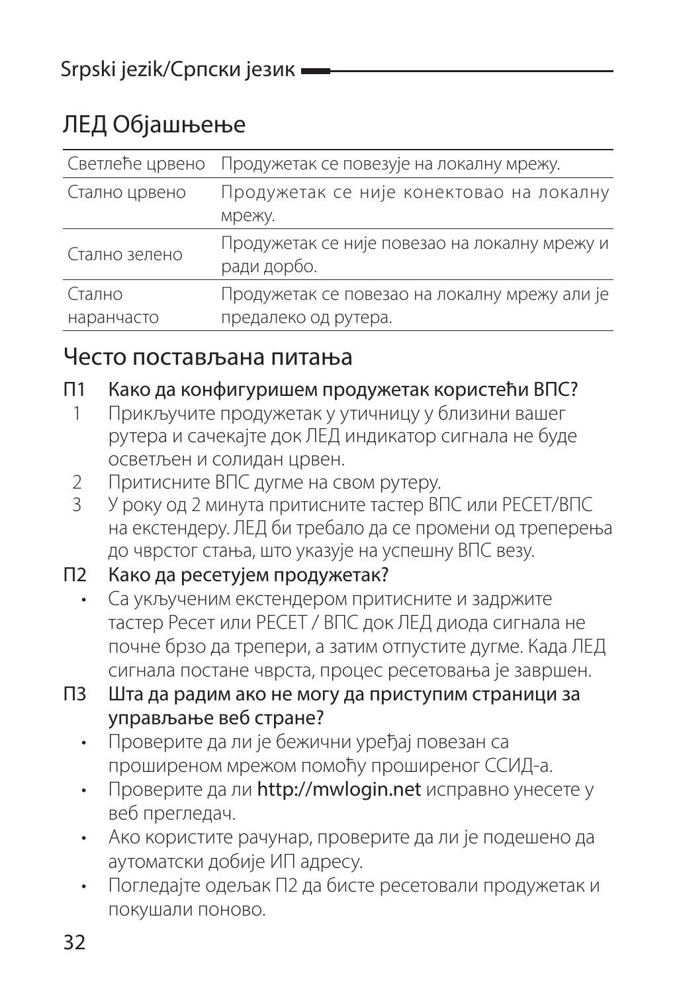#### ЛЕД Објашњење

| Светлеће црвено      | Продужетак се повезује на локалну мрежу.                              |
|----------------------|-----------------------------------------------------------------------|
| Стално црвено        | Продужетак се није конектовао на локалну<br>мрежу.                    |
| Стално зелено        | Продужетак се није повезао на локалну мрежу и<br>ради дорбо.          |
| Стално<br>наранчасто | Продужетак се повезао на локалну мрежу али је<br>предалеко од рутера. |

#### Често постављана питања

#### П1 Како да конфигуришем продужетак користећи ВПС?

- 1 Прикључите продужетак у утичницу у близини вашег рутера и сачекајте док ЛЕД индикатор сигнала не буде осветљен и солидан црвен.
- 2 Притисните ВПС дугме на свом рутеру.<br>2 ИРОССОВ 2 МИЛЯ ВРИТИСНИТО ТАСТОР ВГ
- 3 У року од 2 минута притисните тастер ВПС или РЕСЕТ/ВПС на екстендеру. ЛЕД би требало да се промени од треперења до чврстог стања, што указује на успешну ВПС везу.

#### П2 Како да ресетујем продужетак?

- Са укљученим екстендером притисните и задржите тастер Ресет или РЕСЕТ / ВПС док ЛЕД диода сигнала не почне брзо да трепери, а затим отпустите дугме. Када ЛЕД сигнала постане чврста, процес ресетовања је завршен.
- П3 Шта да радим ако не могу да приступим страници за управљање веб стране?
	- Проверите да ли је бежични уређај повезан са проширеном мрежом помоћу проширеног ССИД-а.
	- Проверите да ли http://mwlogin.net исправно унесете у веб прегледач.
	- Ако користите рачунар, проверите да ли је подешено да аутоматски добије ИП адресу.
	- Погледајте одељак П2 да бисте ресетовали продужетак и покушали поново.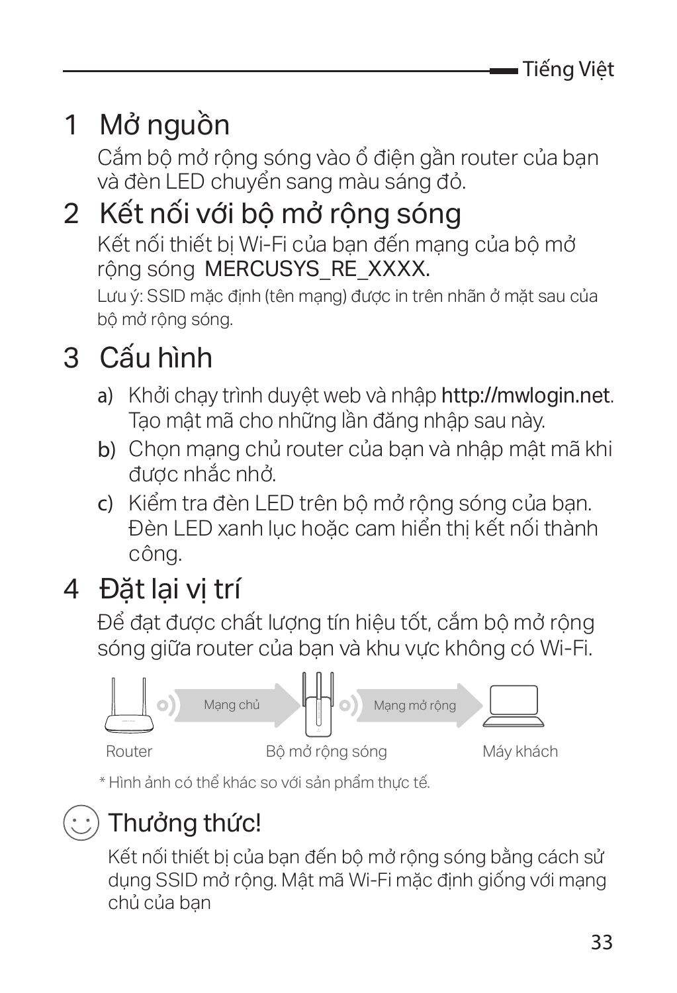## 1 Mở nguồn

Cắm bộ mở rộng sóng vào ổ điện gần router của bạn và đèn LED chuyển sang màu sáng đỏ.

### 2 Kết nối với bộ mở rộng sóng Kết nối thiết bị Wi-Fi của bạn đến mạng của bộ mở rông sóng MERCUSYS\_RE\_XXXX.

Lưu ý: SSID mặc định (tên mang) được in trên nhãn ở mặt sau của bộ mở rộng sóng.

### 3 Cấu hình

- a) Khởi chạy trình duyệt web và nhập http://mwlogin.net. Tạo mật mã cho những lần đăng nhập sau này.
- b) Chọn mạng chủ router của bạn và nhập mật mã khi được nhắc nhở.
- c) Kiểm tra đèn LED trên bộ mở rộng sóng của bạn. Đèn LED xanh lục hoặc cam hiển thị kết nối thành công.

### 4 Đặt lại vị trí

Để đạt được chất lượng tín hiệu tốt, cắm bộ mở rộng sóng giữa router của bạn và khu vực không có Wi-Fi.



\* Hình ảnh có thể khác so với sản phẩm thực tế.

### Thưởng thức!

Kết nối thiết bị của bạn đến bộ mở rộng sóng bằng cách sử dụng SSID mở rộng. Mật mã Wi-Fi mặc định giống với mạng chủ của bạn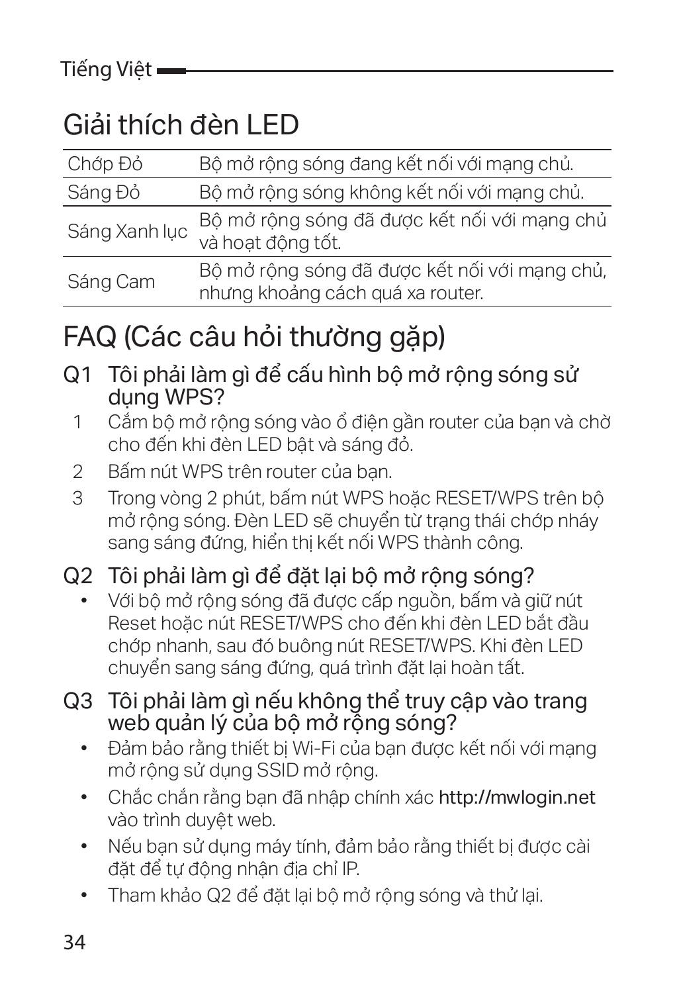### Giải thích đèn LED

| Chớp Đỏ       | Bô mở rông sóng đang kết nối với mang chủ.                                        |
|---------------|-----------------------------------------------------------------------------------|
| Sáng Đỏ       | Bộ mở rộng sóng không kết nối với mạng chủ.                                       |
| Sáng Xanh luc | Bộ mở rộng sóng đã được kết nối với mạng chủ<br>và hoat đông tốt.                 |
| Sáng Cam      | Bộ mở rộng sóng đã được kết nối với mang chủ,<br>nhưng khoảng cách quá xa router. |

### FAQ (Các câu hỏi thường gặp)

- Q1 Tôi phải làm gì để cấu hình bộ mở rộng sóng sử dung WPS?
	- 1 Cắm bộ mở rộng sóng vào ổ điện gần router của bạn và chờ cho đến khi đèn LED bật và sáng đỏ.
	- 2 Bấm nút WPS trên router của bạn.<br>3 Trong vòng 2 phút bấm nút WPS k
	- Trong vòng 2 phút, bấm nút WPS hoặc RESET/WPS trên bộ mở rộng sóng. Đèn LED sẽ chuyển từ trạng thái chớp nháy sang sáng đứng, hiển thị kết nối WPS thành công.

#### Q2 Tôi phải làm gì để đặt lại bộ mở rộng sóng?

- Với bộ mở rộng sóng đã được cấp nguồn, bấm và giữ nút Reset hoặc nút RESET/WPS cho đến khi đèn LED bắt đầu chớp nhanh, sau đó buông nút RESET/WPS. Khi đèn LED chuyển sang sáng đứng, quá trình đặt lại hoàn tất.
- Q3 Tôi phải làm gì nếu không thể truy cập vào trang web quản lý của bộ mở rộng sóng?
	- Đảm bảo rằng thiết bị Wi-Fi của bạn được kết nối với mạng mở rộng sử dụng SSID mở rộng.
	- Chắc chắn rằng bạn đã nhập chính xác http://mwlogin.net vào trình duyệt web.
	- Nếu bạn sử dụng máy tính, đảm bảo rằng thiết bị được cài đặt để tự động nhận địa chỉ IP.
	- Tham khảo Q2 để đặt lại bộ mở rộng sóng và thử lại.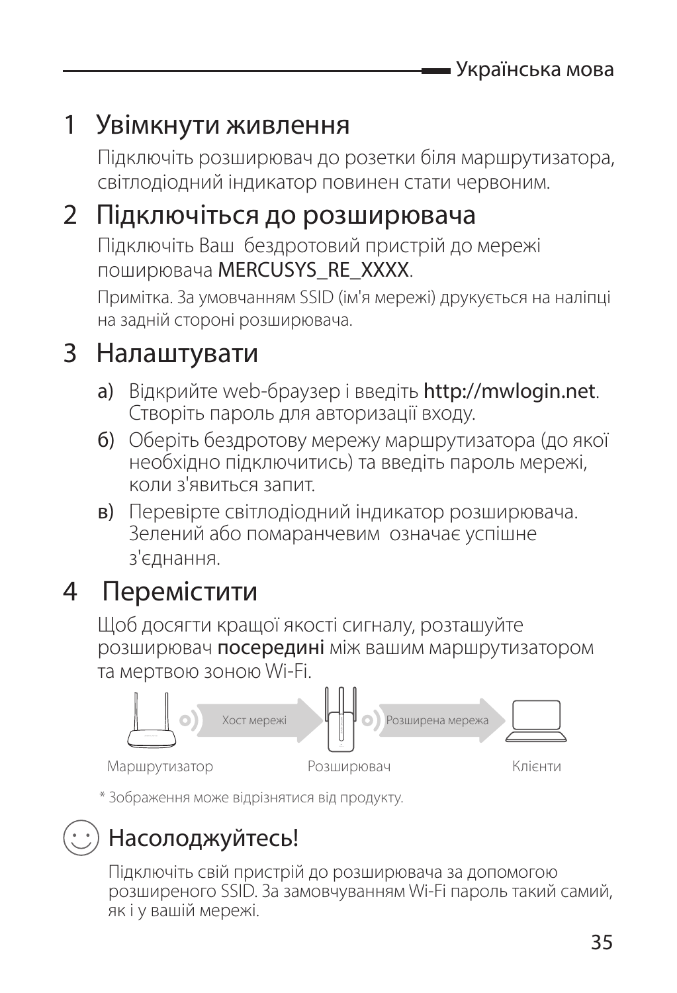### 1 Увімкнути живлення

Підключіть розширювач до розетки біля маршрутизатора, світлодіодний індикатор повинен стати червоним.

#### 2 Підключіться до розширювача

Підключіть Ваш бездротовий пристрій до мережі поширювача MERCUSYS\_RE\_XXXX.

Примітка. За умовчанням SSID (ім'я мережі) друкується на наліпці на задній стороні розширювача.

### 3 Налаштувати

- a) Відкрийте web-браузер і введіть http://mwlogin.net. Створіть пароль для авторизації входу.
- б) Оберіть бездротову мережу маршрутизатора (до якої необхідно підключитись) та введіть пароль мережі, коли з'явиться запит.
- в) Перевірте світлодіодний індикатор розширювача. Зелений або помаранчевим означає успішне з'єднання.

### 4 Перемістити

Щоб досягти кращої якості сигналу, розташуйте розширювач посередині між вашим маршрутизатором та мертвою зоною Wi-Fi.



\* Зображення може відрізнятися від продукту.

### Насолоджуйтесь!

Підключіть свій пристрій до розширювача за допомогою розширеного SSID. За замовчуванням Wi-Fi пароль такий самий, як і у вашій мережі.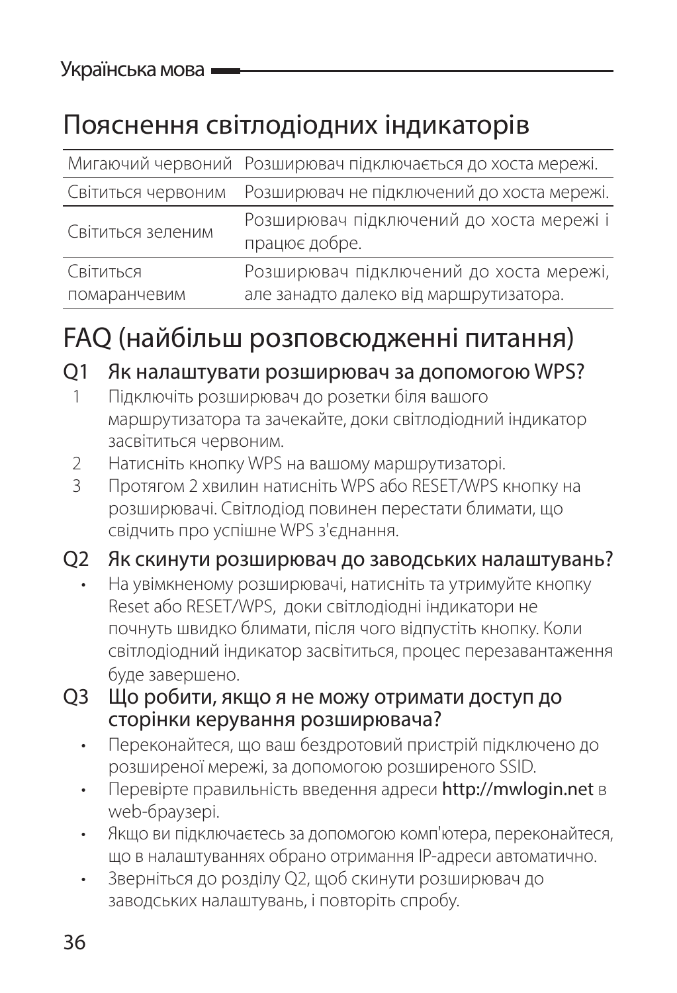### Пояснення світлодіодних індикаторів

|                    | Мигаючий червоний Розширювач підключається до хоста мережі. |
|--------------------|-------------------------------------------------------------|
| Світиться червоним | Розширювач не підключений до хоста мережі.                  |
| Світиться зеленим  | Розширювач підключений до хоста мережі і<br>працює добре.   |
| Світиться          | Розширювач підключений до хоста мережі,                     |
| помаранчевим       | але занадто далеко від маршрутизатора.                      |

### FAQ (найбільш розповсюдженні питання)

#### Q1 Як налаштувати розширювач за допомогою WPS?

- 1 Підключіть розширювач до розетки біля вашого маршрутизатора та зачекайте, доки світлодіодний індикатор засвітиться червоним.
- 2 Натисніть кнопку WPS на вашому маршрутизаторі.
- 3 Протягом 2 хвилин натисніть WPS або RESET/WPS кнопку на розширювачі. Світлодіод повинен перестати блимати, що свідчить про успішне WPS з'єднання.

#### Q2 Як скинути розширювач до заводських налаштувань?

- На увімкненому розширювачі, натисніть та утримуйте кнопку Reset або RESET/WPS, доки світлодіодні індикатори не почнуть швидко блимати, після чого відпустіть кнопку. Коли світлодіодний індикатор засвітиться, процес перезавантаження буде завершено.
- Q3 Що робити, якщо я не можу отримати доступ до сторінки керування розширювача?
	- Переконайтеся, що ваш бездротовий пристрій підключено до розширеної мережі, за допомогою розширеного SSID.
	- Перевірте правильність введення адреси http://mwlogin.net в web-браузері.
	- Якщо ви підключаєтесь за допомогою комп'ютера, переконайтеся, що в налаштуваннях обрано отримання IP-адреси автоматично.
	- Зверніться до розділу Q2, щоб скинути розширювач до заводських налаштувань, і повторіть спробу.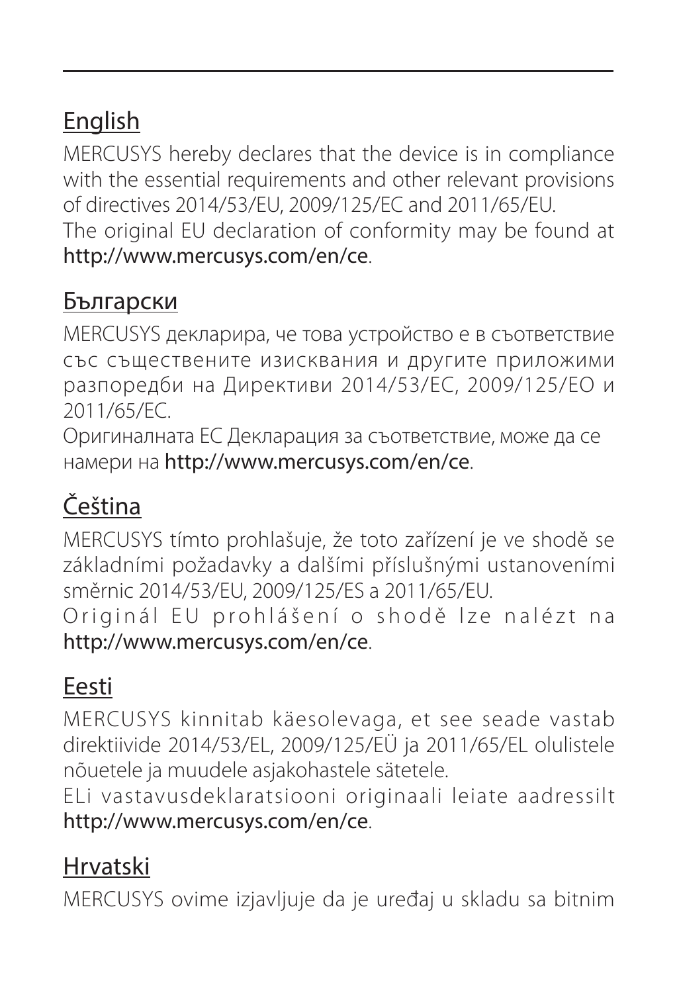### English

MERCUSYS hereby declares that the device is in compliance with the essential requirements and other relevant provisions of directives 2014/53/EU, 2009/125/EC and 2011/65/EU. The original EU declaration of conformity may be found at http://www.mercusys.com/en/ce.

#### Български

MERCUSYS декларира, че това устройство е в съответствие със съществените изисквания и другите приложими разпоредби на Директиви 2014/53/EC, 2009/125/EO и 2011/65/EC.

Оригиналната ЕС Декларация за съответствие, може да се намери на http://www.mercusys.com/en/ce.

#### Čeština

MERCUSYS tímto prohlašuje, že toto zařízení je ve shodě se základními požadavky a dalšími příslušnými ustanoveními směrnic 2014/53/EU, 2009/125/ES a 2011/65/EU. Originál EU prohlášení o shodě lze nalézt na http://www.mercusys.com/en/ce.

#### Eesti

MERCUSYS kinnitab käesolevaga, et see seade vastab direktiivide 2014/53/EL, 2009/125/EÜ ja 2011/65/EL olulistele nõuetele ja muudele asjakohastele sätetele.

ELi vastavusdeklaratsiooni originaali leiate aadressilt http://www.mercusys.com/en/ce.

#### Hrvatski

MERCUSYS ovime izjavljuje da je uređaj u skladu sa bitnim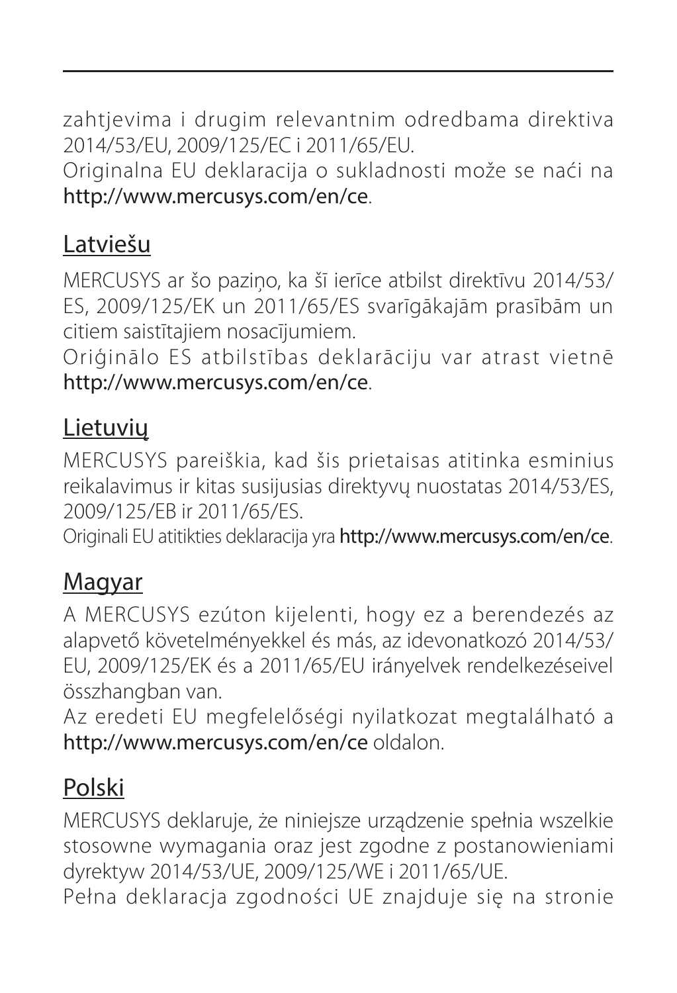zahtievima i drugim relevantnim odredbama direktiva 2014/53/EU, 2009/125/EC i 2011/65/EU.

Originalna EU deklaracija o sukladnosti može se naći na http://www.mercusys.com/en/ce.

#### Latviešu

MERCUSYS ar šo paziņo, ka šī ierīce atbilst direktīvu 2014/53/ ES, 2009/125/EK un 2011/65/ES svarīgākajām prasībām un citiem saistītajiem nosacījumiem.

Oriģinālo ES atbilstības deklarāciju var atrast vietnē http://www.mercusys.com/en/ce.

#### Lietuvių

MERCUSYS pareiškia, kad šis prietaisas atitinka esminius reikalavimus ir kitas susijusias direktyvų nuostatas 2014/53/ES, 2009/125/EB ir 2011/65/ES.

Originali EU atitikties deklaracija yra http://www.mercusys.com/en/ce.

#### Magyar

A MERCUSYS ezúton kijelenti, hogy ez a berendezés az alapvető követelményekkel és más, az idevonatkozó 2014/53/ EU, 2009/125/EK és a 2011/65/EU irányelvek rendelkezéseivel összhangban van.

Az eredeti EU megfelelőségi nyilatkozat megtalálható a http://www.mercusys.com/en/ce oldalon.

#### Polski

MERCUSYS deklaruje, że niniejsze urządzenie spełnia wszelkie stosowne wymagania oraz jest zgodne z postanowieniami dyrektyw 2014/53/UE, 2009/125/WE i 2011/65/UE.

Pełna deklaracja zgodności UE znajduje się na stronie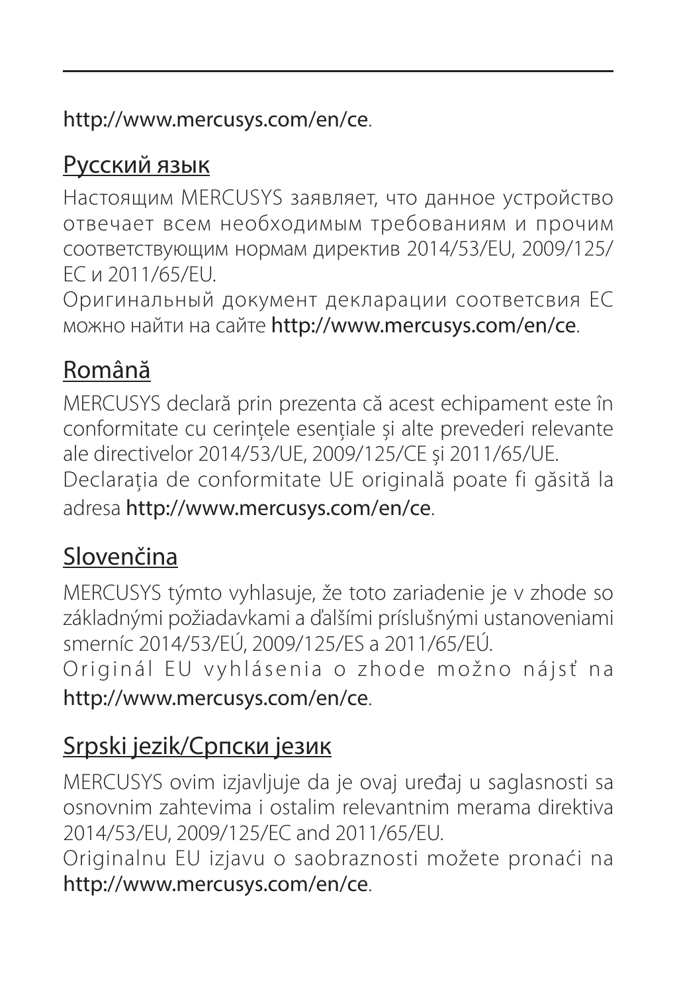http://www.mercusys.com/en/ce.

#### Русский язык

Настоящим MERCUSYS заявляет, что данное устройство отвечает всем необходимым требованиям и прочим соответствующим нормам директив 2014/53/EU, 2009/125/ EC и 2011/65/EU.

Оригинальный документ декларации соответсвия ЕС можно найти на сайте http://www.mercusys.com/en/ce.

#### Română

MERCUSYS declară prin prezenta că acest echipament este în conformitate cu cerințele esențiale și alte prevederi relevante ale directivelor 2014/53/UE, 2009/125/CE și 2011/65/UE. Declarația de conformitate UE originală poate fi găsită la adresa http://www.mercusys.com/en/ce.

#### Slovenčina

MERCUSYS týmto vyhlasuje, že toto zariadenie je v zhode so základnými požiadavkami a ďalšími príslušnými ustanoveniami smerníc 2014/53/EÚ, 2009/125/ES a 2011/65/EÚ. Originál EU vyhlásenia o zhode možno náisť na http://www.mercusys.com/en/ce.

#### Srpski jezik/Српски језик

MERCUSYS ovim izjavljuje da je ovaj uređaj u saglasnosti sa osnovnim zahtevima i ostalim relevantnim merama direktiva 2014/53/EU, 2009/125/EC and 2011/65/EU.

Originalnu EU izjavu o saobraznosti možete pronaći na http://www.mercusys.com/en/ce.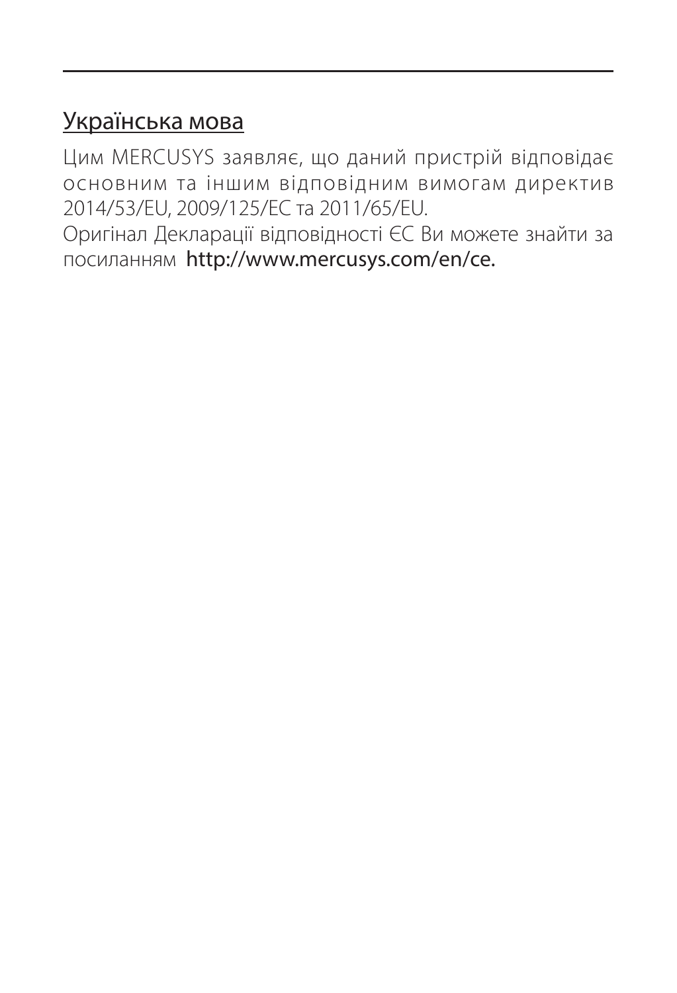#### Українська мова

Цим MERCUSYS заявляє, що даний пристрій відповідає основним та іншим відповідним вимогам директив 2014/53/EU, 2009/125/EC та 2011/65/EU.

Оригінал Декларації відповідності ЄС Ви можете знайти за посиланням http://www.mercusys.com/en/ce.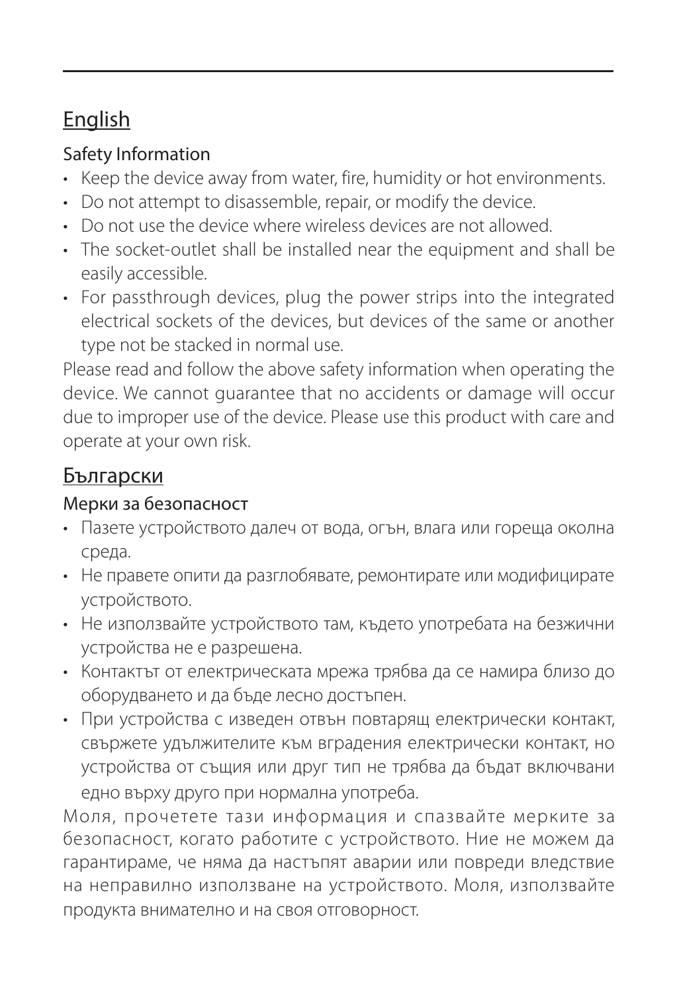#### English

#### Safety Information

- Keep the device away from water, fire, humidity or hot environments.
- Do not attempt to disassemble, repair, or modify the device.
- Do not use the device where wireless devices are not allowed.
- The socket-outlet shall be installed near the equipment and shall be easily accessible.
- For passthrough devices, plug the power strips into the integrated electrical sockets of the devices, but devices of the same or another type not be stacked in normal use.

Please read and follow the above safety information when operating the device. We cannot guarantee that no accidents or damage will occur due to improper use of the device. Please use this product with care and operate at your own risk.

#### Български

#### Мерки за безопасност

- Пазете устройството далеч от вода, огън, влага или гореща околна среда.
- Не правете опити да разглобявате, ремонтирате или модифицирате устройството.
- Не използвайте устройството там, където употребата на безжични устройства не е разрешена.
- Контактът от електрическата мрежа трябва да се намира близо до оборудването и да бъде лесно достъпен.
- При устройства с изведен отвън повтарящ електрически контакт, свържете удължителите към вградения електрически контакт, но устройства от същия или друг тип не трябва да бъдат включвани едно върху друго при нормална употреба.

Моля, прочетете тази информация и спазвайте мерките за безопасност, когато работите с устройството. Ние не можем да гарантираме, че няма да настъпят аварии или повреди вледствие на неправилно използване на устройството. Моля, използвайте продукта внимателно и на своя отговорност.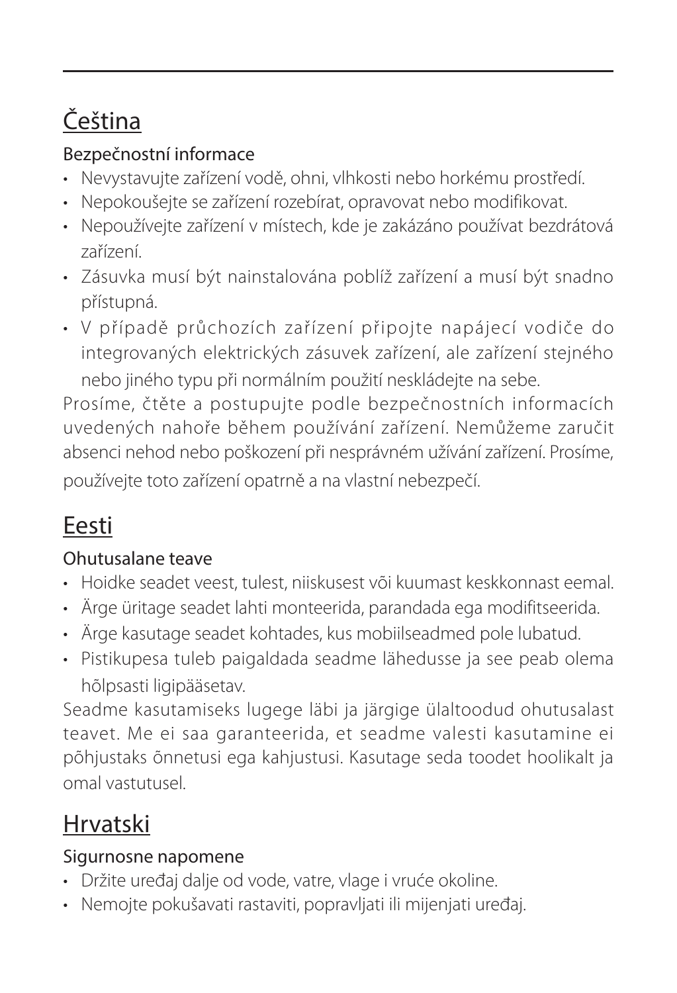### Čeština

#### Bezpečnostní informace

- Nevystavujte zařízení vodě, ohni, vlhkosti nebo horkému prostředí.
- Nepokoušejte se zařízení rozebírat, opravovat nebo modifikovat.
- Nepoužívejte zařízení v místech, kde je zakázáno používat bezdrátová zařízení.
- Zásuvka musí být nainstalována poblíž zařízení a musí být snadno přístupná.
- V případě průchozích zařízení připojte napájecí vodiče do integrovaných elektrických zásuvek zařízení, ale zařízení stejného nebo jiného typu při normálním použití neskládejte na sebe.

Prosíme, čtěte a postupujte podle bezpečnostních informacích uvedených nahoře během používání zařízení. Nemůžeme zaručit absenci nehod nebo poškození při nesprávném užívání zařízení. Prosíme, používejte toto zařízení opatrně a na vlastní nebezpečí.

### Eesti

#### Ohutusalane teave

- Hoidke seadet veest, tulest, niiskusest või kuumast keskkonnast eemal.
- Ärge üritage seadet lahti monteerida, parandada ega modifitseerida.
- Ärge kasutage seadet kohtades, kus mobiilseadmed pole lubatud.
- Pistikupesa tuleb paigaldada seadme lähedusse ja see peab olema hõlpsasti ligipääsetav.

Seadme kasutamiseks lugege läbi ja järgige ülaltoodud ohutusalast teavet. Me ei saa garanteerida, et seadme valesti kasutamine ei põhjustaks õnnetusi ega kahjustusi. Kasutage seda toodet hoolikalt ja omal vastutusel.

### Hrvatski

#### Sigurnosne napomene

- Držite uređaj dalje od vode, vatre, vlage i vruće okoline.
- Nemojte pokušavati rastaviti, popravljati ili mijenjati uređaj.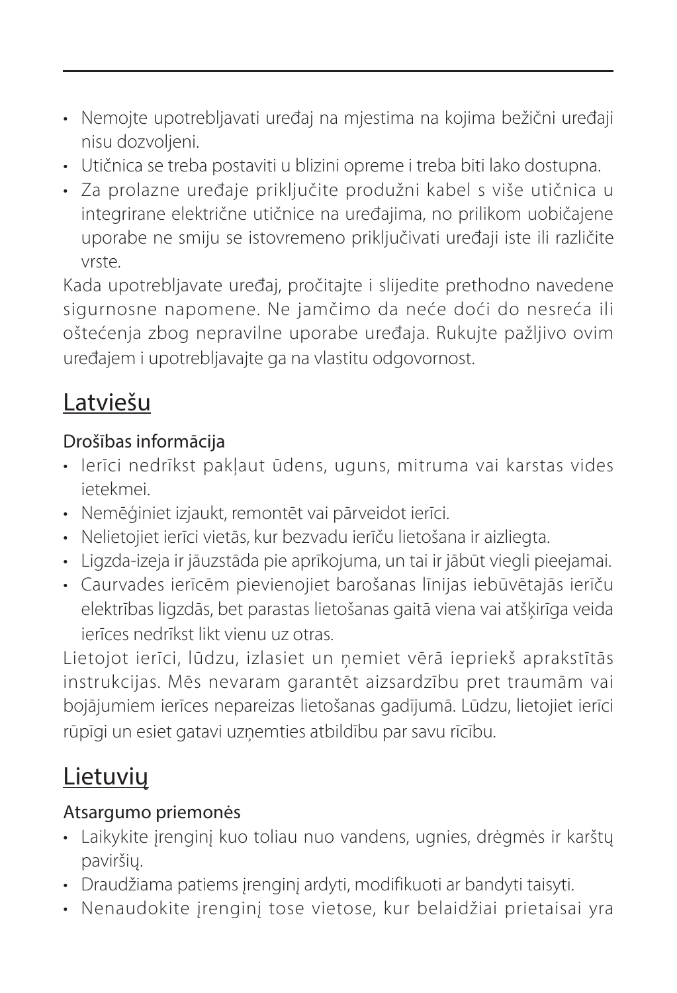- Nemojte upotrebljavati uređaj na mjestima na kojima bežični uređaji nisu dozvoljeni.
- Utičnica se treba postaviti u blizini opreme i treba biti lako dostupna.
- Za prolazne uređaje priključite produžni kabel s više utičnica u integrirane električne utičnice na uređajima, no prilikom uobičajene uporabe ne smiju se istovremeno priključivati uređaji iste ili različite vrste.

Kada upotrebljavate uređaj, pročitajte i slijedite prethodno navedene sigurnosne napomene. Ne jamčimo da neće doći do nesreća ili oštećenja zbog nepravilne uporabe uređaja. Rukujte pažljivo ovim uređajem i upotrebljavajte ga na vlastitu odgovornost.

#### Latviešu

#### Drošības informācija

- Ierīci nedrīkst pakļaut ūdens, uguns, mitruma vai karstas vides ietekmei.
- Nemēģiniet izjaukt, remontēt vai pārveidot ierīci.
- Nelietojiet ierīci vietās, kur bezvadu ierīču lietošana ir aizliegta.
- Ligzda-izeja ir jāuzstāda pie aprīkojuma, un tai ir jābūt viegli pieejamai.
- Caurvades ierīcēm pievienojiet barošanas līnijas iebūvētajās ierīču elektrības ligzdās, bet parastas lietošanas gaitā viena vai atšķirīga veida ierīces nedrīkst likt vienu uz otras.

Lietojot ierīci, lūdzu, izlasiet un ņemiet vērā iepriekš aprakstītās instrukcijas. Mēs nevaram garantēt aizsardzību pret traumām vai bojājumiem ierīces nepareizas lietošanas gadījumā. Lūdzu, lietojiet ierīci rūpīgi un esiet gatavi uzņemties atbildību par savu rīcību.

#### **Lietuvių**

#### Atsargumo priemonės

- Laikykite įrenginį kuo toliau nuo vandens, ugnies, drėgmės ir karštų paviršių.
- Draudžiama patiems įrenginį ardyti, modifikuoti ar bandyti taisyti.
- Nenaudokite įrenginį tose vietose, kur belaidžiai prietaisai yra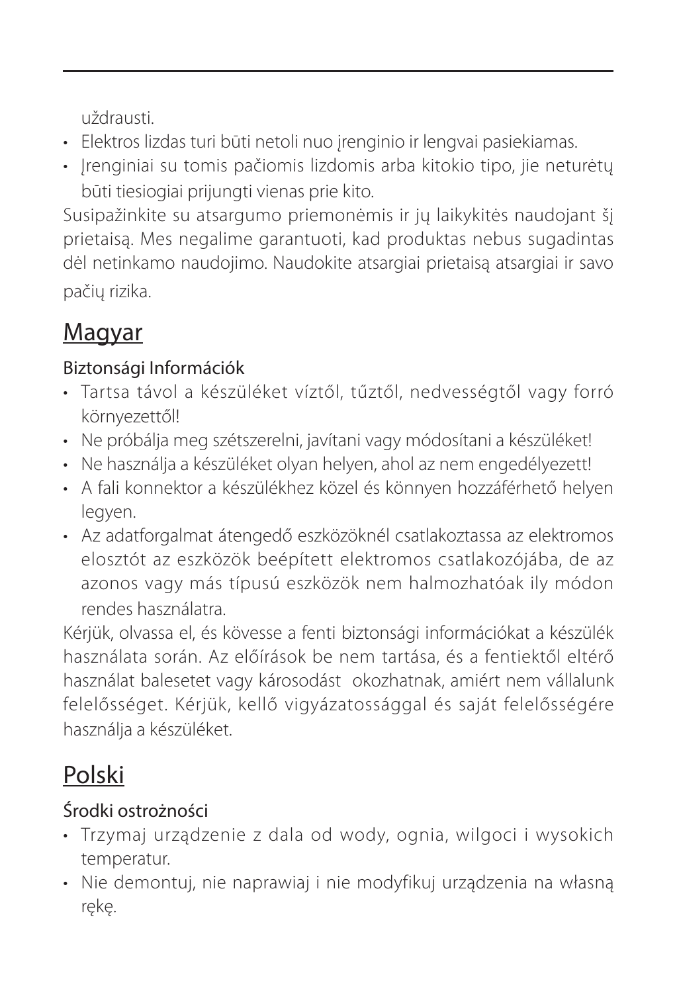uždrausti.

- Elektros lizdas turi būti netoli nuo įrenginio ir lengvai pasiekiamas.
- Irenginiai su tomis pačiomis lizdomis arba kitokio tipo, jie neturėtų būti tiesiogiai prijungti vienas prie kito.

Susipažinkite su atsargumo priemonėmis ir jų laikykitės naudojant šį prietaisą. Mes negalime garantuoti, kad produktas nebus sugadintas dėl netinkamo naudojimo. Naudokite atsargiai prietaisą atsargiai ir savo pačių rizika.

#### Magyar

#### Biztonsági Információk

- Tartsa távol a készüléket víztől, tűztől, nedvességtől vagy forró környezettől!
- Ne próbálja meg szétszerelni, javítani vagy módosítani a készüléket!
- Ne használja a készüléket olyan helyen, ahol az nem engedélyezett!
- A fali konnektor a készülékhez közel és könnyen hozzáférhető helyen legyen.
- Az adatforgalmat átengedő eszközöknél csatlakoztassa az elektromos elosztót az eszközök beépített elektromos csatlakozójába, de az azonos vagy más típusú eszközök nem halmozhatóak ily módon rendes használatra.

Kérjük, olvassa el, és kövesse a fenti biztonsági információkat a készülék használata során. Az előírások be nem tartása, és a fentiektől eltérő használat balesetet vagy károsodást okozhatnak, amiért nem vállalunk felelősséget. Kérjük, kellő vigyázatossággal és saját felelősségére használja a készüléket.

### Polski

#### Środki ostrożności

- Trzymaj urządzenie z dala od wody, ognia, wilgoci i wysokich temperatur.
- Nie demontuj, nie naprawiaj i nie modyfikuj urządzenia na własną rękę.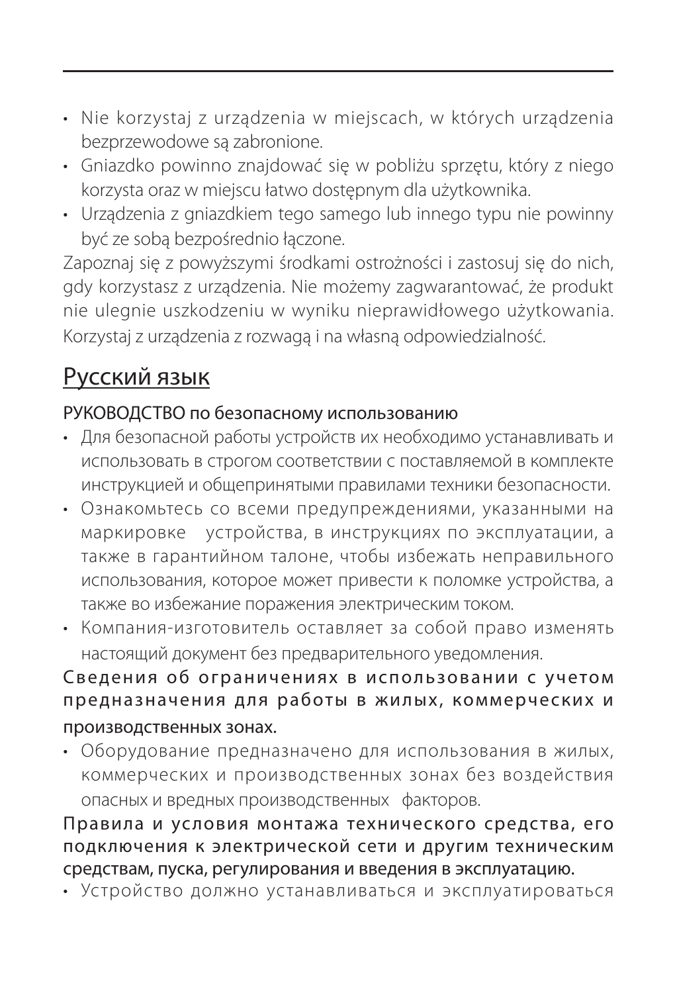- Nie korzystaj z urządzenia w miejscach, w których urządzenia bezprzewodowe są zabronione.
- Gniazdko powinno znajdować się w pobliżu sprzętu, który z niego korzysta oraz w miejscu łatwo dostępnym dla użytkownika.
- Urządzenia z gniazdkiem tego samego lub innego typu nie powinny być ze sobą bezpośrednio łączone.

Zapoznaj się z powyższymi środkami ostrożności i zastosuj się do nich, gdy korzystasz z urządzenia. Nie możemy zagwarantować, że produkt nie ulegnie uszkodzeniu w wyniku nieprawidłowego użytkowania. Korzystaj z urządzenia z rozwagą i na własną odpowiedzialność.

#### Русский язык

#### РУКОВОДСТВО по безопасному использованию

- Для безопасной работы устройств их необходимо устанавливать и использовать в строгом соответствии с поставляемой в комплекте инструкцией и общепринятыми правилами техники безопасности.
- Ознакомьтесь со всеми предупреждениями, указанными на маркировке устройства, в инструкциях по эксплуатации, а также в гарантийном талоне, чтобы избежать неправильного использования, которое может привести к поломке устройства, а также во избежание поражения электрическим током.
- Компания-изготовитель оставляет за собой право изменять настоящий документ без предварительного уведомления.

#### Сведения об ограничениях в использовании с учетом предназначения для работы в жилых, коммерческих и производственных зонах.

• Оборудование предназначено для использования в жилых, коммерческих и производственных зонах без воздействия опасных и вредных производственных факторов.

#### Правила и условия монтажа технического средства, его подключения к электрической сети и другим техническим средствам, пуска, регулирования и введения в эксплуатацию.

• Устройство должно устанавливаться и эксплуатироваться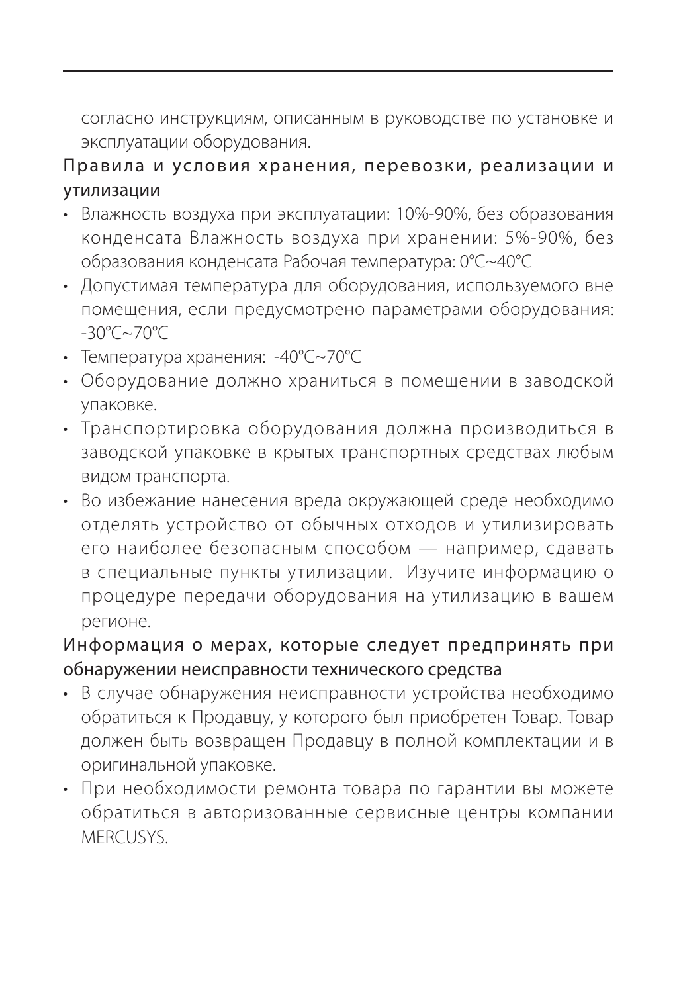согласно инструкциям, описанным в руководстве по установке и эксплуатации оборудования.

#### Правила и условия хранения, перевозки, реализации и утилизации

- Влажность воздуха при эксплуатации: 10%-90%, без образования конденсата Влажность воздуха при хранении: 5%-90%, без образования конденсата Рабочая температура: 0°C~40°C
- Допустимая температура для оборудования, используемого вне помещения, если предусмотрено параметрами оборудования: -30°C~70°C
- Температура хранения: -40°C~70°C
- Оборудование должно храниться в помещении в заводской упаковке.
- Транспортировка оборудования должна производиться в заводской упаковке в крытых транспортных средствах любым видом транспорта.
- Во избежание нанесения вреда окружающей среде необходимо отделять устройство от обычных отходов и утилизировать его наиболее безопасным способом — например, сдавать в специальные пункты утилизации. Изучите информацию о процедуре передачи оборудования на утилизацию в вашем регионе.

#### Информация о мерах, которые следует предпринять при обнаружении неисправности технического средства

- В случае обнаружения неисправности устройства необходимо обратиться к Продавцу, у которого был приобретен Товар. Товар должен быть возвращен Продавцу в полной комплектации и в оригинальной упаковке.
- При необходимости ремонта товара по гарантии вы можете обратиться в авторизованные сервисные центры компании MERCUSYS.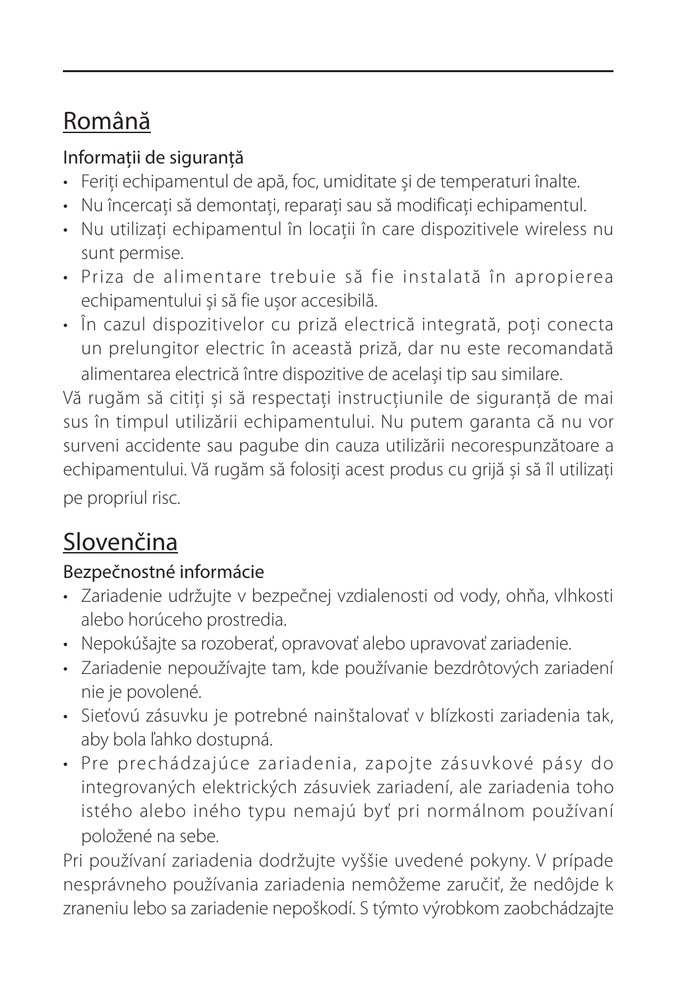### Română

#### Informații de siguranță

- Feriți echipamentul de apă, foc, umiditate și de temperaturi înalte.
- Nu încercați să demontați, reparați sau să modificați echipamentul.
- Nu utilizați echipamentul în locații în care dispozitivele wireless nu sunt permise.
- Priza de alimentare trebuie să fie instalată în apropierea echipamentului și să fie ușor accesibilă.
- În cazul dispozitivelor cu priză electrică integrată, poți conecta un prelungitor electric în această priză, dar nu este recomandată alimentarea electrică între dispozitive de același tip sau similare.

Vă rugăm să citiți și să respectați instrucțiunile de siguranță de mai sus în timpul utilizării echipamentului. Nu putem garanta că nu vor surveni accidente sau pagube din cauza utilizării necorespunzătoare a echipamentului. Vă rugăm să folosiți acest produs cu grijă și să îl utilizați pe propriul risc.

#### Slovenčina

#### Bezpečnostné informácie

- Zariadenie udržujte v bezpečnej vzdialenosti od vody, ohňa, vlhkosti alebo horúceho prostredia.
- Nepokúšajte sa rozoberať, opravovať alebo upravovať zariadenie.
- Zariadenie nepoužívajte tam, kde používanie bezdrôtových zariadení nie je povolené.
- Sieťovú zásuvku je potrebné nainštalovať v blízkosti zariadenia tak, aby bola ľahko dostupná.
- Pre prechádzajúce zariadenia, zapojte zásuvkové pásy do integrovaných elektrických zásuviek zariadení, ale zariadenia toho istého alebo iného typu nemajú byť pri normálnom používaní položené na sebe.

Pri používaní zariadenia dodržujte vyššie uvedené pokyny. V prípade nesprávneho používania zariadenia nemôžeme zaručiť, že nedôjde k zraneniu lebo sa zariadenie nepoškodí. S týmto výrobkom zaobchádzajte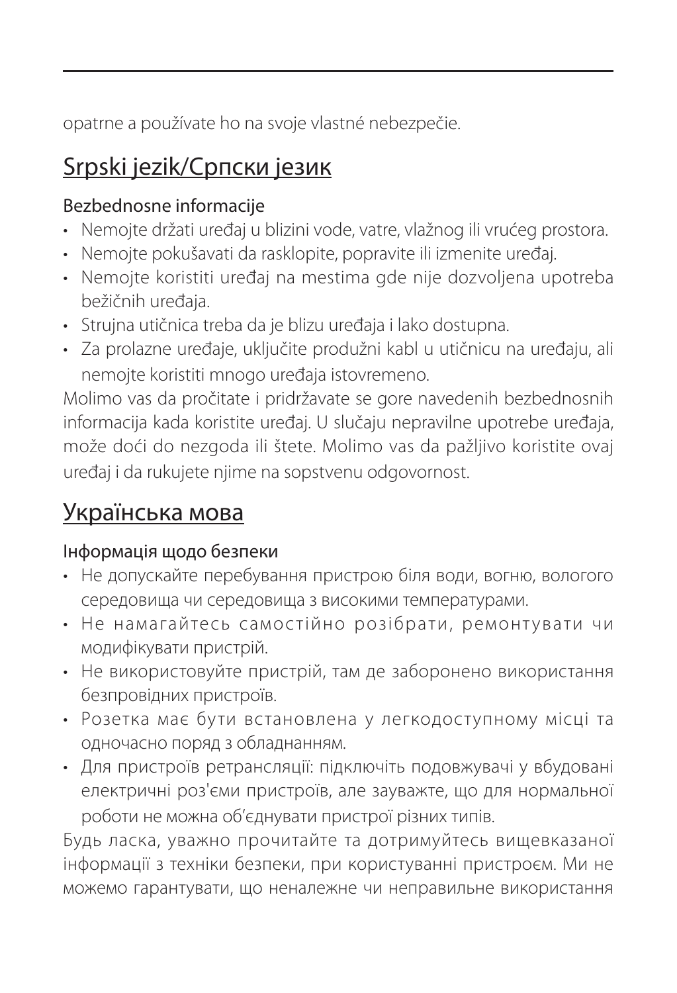opatrne a používate ho na svoje vlastné nebezpečie.

#### Srpski jezik/Српски језик

#### Bezbednosne informacije

- Nemojte držati uređaj u blizini vode, vatre, vlažnog ili vrućeg prostora.
- Nemojte pokušavati da rasklopite, popravite ili izmenite uređaj.
- Nemojte koristiti uređaj na mestima gde nije dozvoljena upotreba bežičnih uređaja.
- Strujna utičnica treba da je blizu uređaja i lako dostupna.
- Za prolazne uređaje, uključite produžni kabl u utičnicu na uređaju, ali nemojte koristiti mnogo uređaja istovremeno.

Molimo vas da pročitate i pridržavate se gore navedenih bezbednosnih informacija kada koristite uređaj. U slučaju nepravilne upotrebe uređaja, može doći do nezgoda ili štete. Molimo vas da pažljivo koristite ovaj uređaj i da rukujete njime na sopstvenu odgovornost.

#### Українська мова

#### Інформація щодо безпеки

- Не допускайте перебування пристрою біля води, вогню, вологого середовища чи середовища з високими температурами.
- Не намагайтесь самостійно розібрати, ремонтувати чи модифікувати пристрій.
- Не використовуйте пристрій, там де заборонено використання безпровідних пристроїв.
- Розетка має бути встановлена у легкодоступному місці та одночасно поряд з обладнанням.
- Для пристроїв ретрансляції: підключіть подовжувачі у вбудовані електричні роз'єми пристроїв, але зауважте, що для нормальної роботи не можна об'єднувати пристрої різних типів.

Будь ласка, уважно прочитайте та дотримуйтесь вищевказаної інформації з техніки безпеки, при користуванні пристроєм. Ми не можемо гарантувати, що неналежне чи неправильне використання